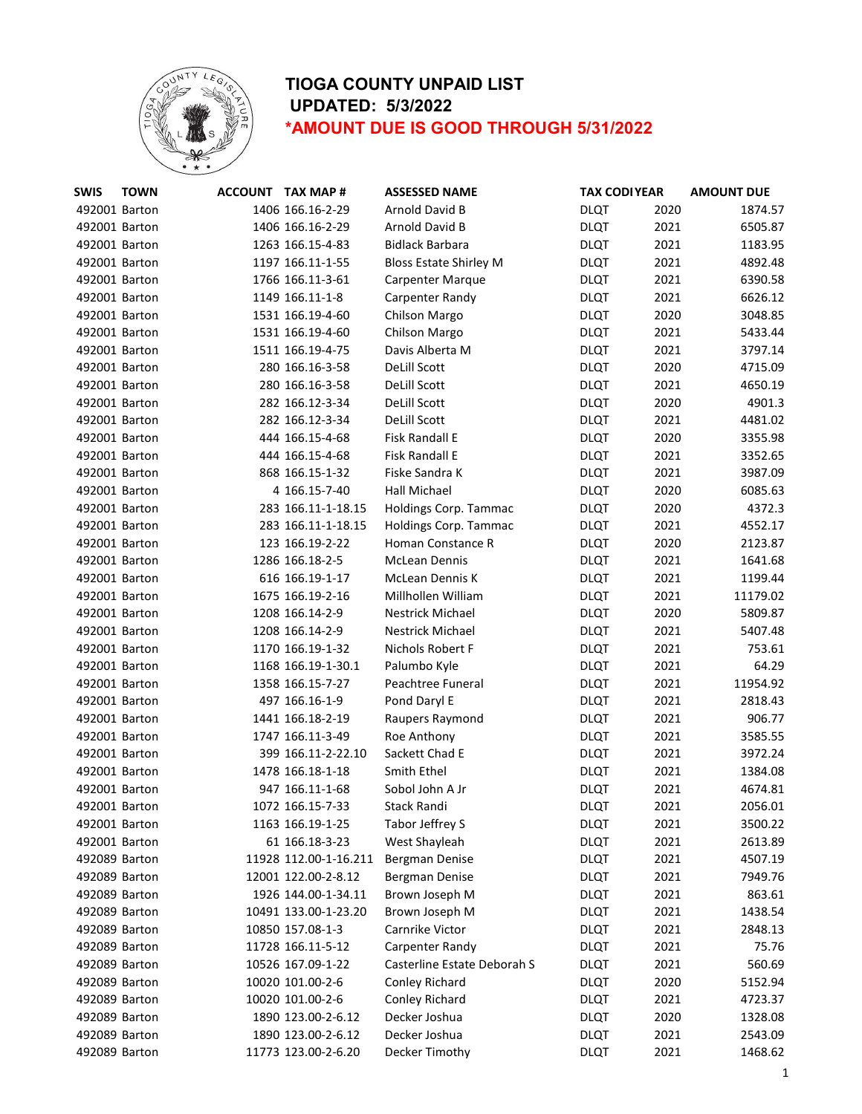

| <b>SWIS</b>   | <b>TOWN</b> | <b>ACCOUNT TAX MAP #</b> | <b>ASSESSED NAME</b>          | <b>TAX CODI YEAR</b> |      | <b>AMOUNT DUE</b> |
|---------------|-------------|--------------------------|-------------------------------|----------------------|------|-------------------|
| 492001 Barton |             | 1406 166.16-2-29         | Arnold David B                | <b>DLQT</b>          | 2020 | 1874.57           |
| 492001 Barton |             | 1406 166.16-2-29         | Arnold David B                | <b>DLQT</b>          | 2021 | 6505.87           |
| 492001 Barton |             | 1263 166.15-4-83         | <b>Bidlack Barbara</b>        | <b>DLQT</b>          | 2021 | 1183.95           |
| 492001 Barton |             | 1197 166.11-1-55         | <b>Bloss Estate Shirley M</b> | <b>DLQT</b>          | 2021 | 4892.48           |
| 492001 Barton |             | 1766 166.11-3-61         | <b>Carpenter Marque</b>       | <b>DLQT</b>          | 2021 | 6390.58           |
| 492001 Barton |             | 1149 166.11-1-8          | Carpenter Randy               | <b>DLQT</b>          | 2021 | 6626.12           |
| 492001 Barton |             | 1531 166.19-4-60         | Chilson Margo                 | <b>DLQT</b>          | 2020 | 3048.85           |
| 492001 Barton |             | 1531 166.19-4-60         | Chilson Margo                 | <b>DLQT</b>          | 2021 | 5433.44           |
| 492001 Barton |             | 1511 166.19-4-75         | Davis Alberta M               | <b>DLQT</b>          | 2021 | 3797.14           |
| 492001 Barton |             | 280 166.16-3-58          | DeLill Scott                  | <b>DLQT</b>          | 2020 | 4715.09           |
| 492001 Barton |             | 280 166.16-3-58          | DeLill Scott                  | <b>DLQT</b>          | 2021 | 4650.19           |
| 492001 Barton |             | 282 166.12-3-34          | DeLill Scott                  | <b>DLQT</b>          | 2020 | 4901.3            |
| 492001 Barton |             | 282 166.12-3-34          | <b>DeLill Scott</b>           | <b>DLQT</b>          | 2021 | 4481.02           |
| 492001 Barton |             | 444 166.15-4-68          | Fisk Randall E                | <b>DLQT</b>          | 2020 | 3355.98           |
| 492001 Barton |             | 444 166.15-4-68          | <b>Fisk Randall E</b>         | <b>DLQT</b>          | 2021 | 3352.65           |
| 492001 Barton |             | 868 166.15-1-32          | Fiske Sandra K                | <b>DLQT</b>          | 2021 | 3987.09           |
| 492001 Barton |             | 4 166.15-7-40            | Hall Michael                  | <b>DLQT</b>          | 2020 | 6085.63           |
| 492001 Barton |             | 283 166.11-1-18.15       | Holdings Corp. Tammac         | <b>DLQT</b>          | 2020 | 4372.3            |
| 492001 Barton |             | 283 166.11-1-18.15       | Holdings Corp. Tammac         | <b>DLQT</b>          | 2021 | 4552.17           |
| 492001 Barton |             | 123 166.19-2-22          | Homan Constance R             | <b>DLQT</b>          | 2020 | 2123.87           |
| 492001 Barton |             | 1286 166.18-2-5          | <b>McLean Dennis</b>          | <b>DLQT</b>          | 2021 | 1641.68           |
| 492001 Barton |             | 616 166.19-1-17          | <b>McLean Dennis K</b>        | <b>DLQT</b>          | 2021 | 1199.44           |
| 492001 Barton |             | 1675 166.19-2-16         | Millhollen William            | <b>DLQT</b>          | 2021 | 11179.02          |
| 492001 Barton |             | 1208 166.14-2-9          | <b>Nestrick Michael</b>       | <b>DLQT</b>          | 2020 | 5809.87           |
| 492001 Barton |             | 1208 166.14-2-9          | <b>Nestrick Michael</b>       | <b>DLQT</b>          | 2021 | 5407.48           |
| 492001 Barton |             | 1170 166.19-1-32         | Nichols Robert F              | <b>DLQT</b>          | 2021 | 753.61            |
| 492001 Barton |             | 1168 166.19-1-30.1       | Palumbo Kyle                  | <b>DLQT</b>          | 2021 | 64.29             |
| 492001 Barton |             | 1358 166.15-7-27         | Peachtree Funeral             | <b>DLQT</b>          | 2021 | 11954.92          |
| 492001 Barton |             | 497 166.16-1-9           | Pond Daryl E                  | <b>DLQT</b>          | 2021 | 2818.43           |
| 492001 Barton |             | 1441 166.18-2-19         | Raupers Raymond               | <b>DLQT</b>          | 2021 | 906.77            |
| 492001 Barton |             | 1747 166.11-3-49         | Roe Anthony                   | <b>DLQT</b>          | 2021 | 3585.55           |
| 492001 Barton |             | 399 166.11-2-22.10       | Sackett Chad E                | <b>DLQT</b>          | 2021 | 3972.24           |
| 492001 Barton |             | 1478 166.18-1-18         | Smith Ethel                   | <b>DLQT</b>          | 2021 | 1384.08           |
| 492001 Barton |             | 947 166.11-1-68          | Sobol John A Jr               | <b>DLQT</b>          | 2021 | 4674.81           |
| 492001 Barton |             | 1072 166.15-7-33         | Stack Randi                   | <b>DLQT</b>          | 2021 | 2056.01           |
| 492001 Barton |             | 1163 166.19-1-25         | Tabor Jeffrey S               | <b>DLQT</b>          | 2021 | 3500.22           |
| 492001 Barton |             | 61 166.18-3-23           | West Shayleah                 | <b>DLQT</b>          | 2021 | 2613.89           |
| 492089 Barton |             | 11928 112.00-1-16.211    | Bergman Denise                | <b>DLQT</b>          | 2021 | 4507.19           |
| 492089 Barton |             | 12001 122.00-2-8.12      | Bergman Denise                | <b>DLQT</b>          | 2021 | 7949.76           |
| 492089 Barton |             | 1926 144.00-1-34.11      | Brown Joseph M                | <b>DLQT</b>          | 2021 | 863.61            |
| 492089 Barton |             | 10491 133.00-1-23.20     | Brown Joseph M                | <b>DLQT</b>          | 2021 | 1438.54           |
| 492089 Barton |             | 10850 157.08-1-3         | Carnrike Victor               | <b>DLQT</b>          | 2021 | 2848.13           |
| 492089 Barton |             | 11728 166.11-5-12        | Carpenter Randy               | <b>DLQT</b>          | 2021 | 75.76             |
| 492089 Barton |             | 10526 167.09-1-22        | Casterline Estate Deborah S   | <b>DLQT</b>          | 2021 | 560.69            |
| 492089 Barton |             | 10020 101.00-2-6         | Conley Richard                | <b>DLQT</b>          | 2020 | 5152.94           |
| 492089 Barton |             | 10020 101.00-2-6         | Conley Richard                | <b>DLQT</b>          | 2021 | 4723.37           |
| 492089 Barton |             | 1890 123.00-2-6.12       | Decker Joshua                 | <b>DLQT</b>          | 2020 | 1328.08           |
| 492089 Barton |             | 1890 123.00-2-6.12       | Decker Joshua                 | <b>DLQT</b>          | 2021 | 2543.09           |
| 492089 Barton |             | 11773 123.00-2-6.20      | Decker Timothy                | <b>DLQT</b>          | 2021 | 1468.62           |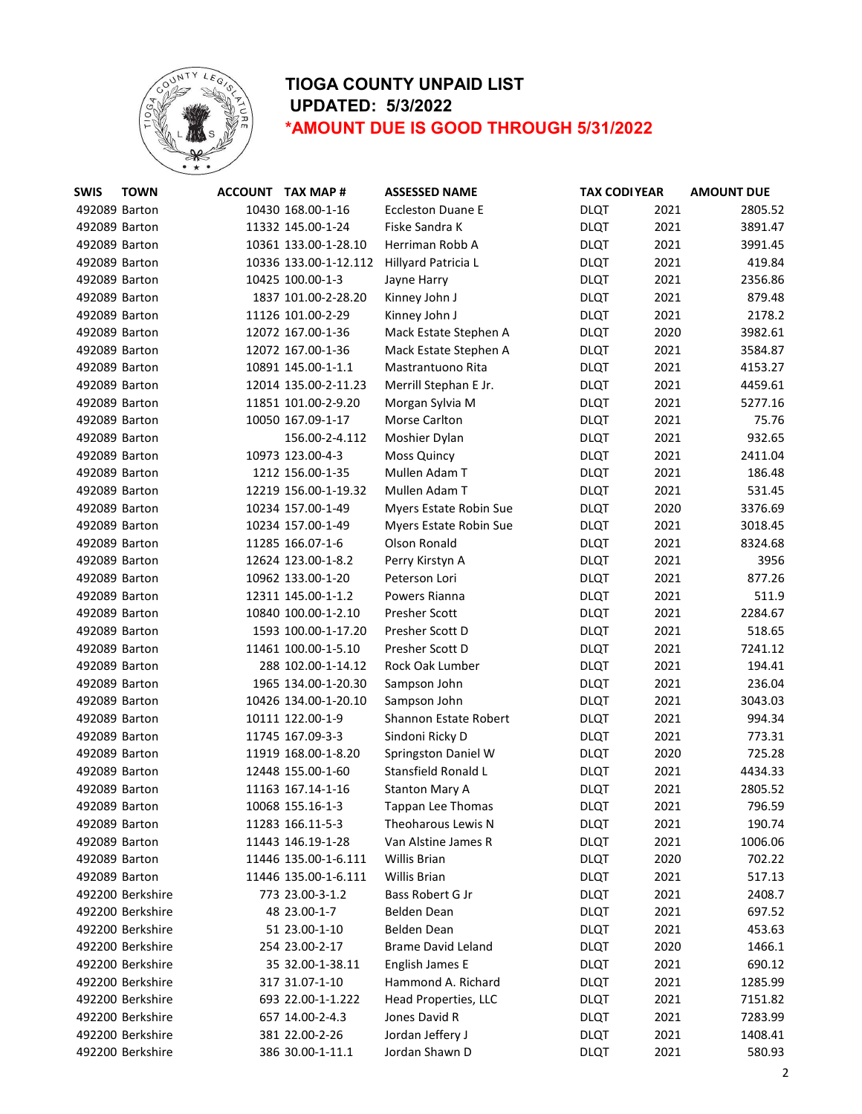

| <b>SWIS</b>   | <b>TOWN</b>      | ACCOUNT TAX MAP #     | <b>ASSESSED NAME</b>      |             | <b>TAX CODI YEAR</b> | <b>AMOUNT DUE</b> |
|---------------|------------------|-----------------------|---------------------------|-------------|----------------------|-------------------|
| 492089 Barton |                  | 10430 168.00-1-16     | <b>Eccleston Duane E</b>  | <b>DLQT</b> | 2021                 | 2805.52           |
| 492089 Barton |                  | 11332 145.00-1-24     | Fiske Sandra K            | <b>DLQT</b> | 2021                 | 3891.47           |
| 492089 Barton |                  | 10361 133.00-1-28.10  | Herriman Robb A           | <b>DLQT</b> | 2021                 | 3991.45           |
| 492089 Barton |                  | 10336 133.00-1-12.112 | Hillyard Patricia L       | <b>DLQT</b> | 2021                 | 419.84            |
| 492089 Barton |                  | 10425 100.00-1-3      | Jayne Harry               | <b>DLQT</b> | 2021                 | 2356.86           |
| 492089 Barton |                  | 1837 101.00-2-28.20   | Kinney John J             | <b>DLQT</b> | 2021                 | 879.48            |
| 492089 Barton |                  | 11126 101.00-2-29     | Kinney John J             | <b>DLQT</b> | 2021                 | 2178.2            |
| 492089 Barton |                  | 12072 167.00-1-36     | Mack Estate Stephen A     | <b>DLQT</b> | 2020                 | 3982.61           |
| 492089 Barton |                  | 12072 167.00-1-36     | Mack Estate Stephen A     | <b>DLQT</b> | 2021                 | 3584.87           |
| 492089 Barton |                  | 10891 145.00-1-1.1    | Mastrantuono Rita         | <b>DLQT</b> | 2021                 | 4153.27           |
| 492089 Barton |                  | 12014 135.00-2-11.23  | Merrill Stephan E Jr.     | <b>DLQT</b> | 2021                 | 4459.61           |
| 492089 Barton |                  | 11851 101.00-2-9.20   | Morgan Sylvia M           | <b>DLQT</b> | 2021                 | 5277.16           |
| 492089 Barton |                  | 10050 167.09-1-17     | Morse Carlton             | <b>DLQT</b> | 2021                 | 75.76             |
| 492089 Barton |                  | 156.00-2-4.112        | Moshier Dylan             | <b>DLQT</b> | 2021                 | 932.65            |
| 492089 Barton |                  | 10973 123.00-4-3      | <b>Moss Quincy</b>        | <b>DLQT</b> | 2021                 | 2411.04           |
| 492089 Barton |                  | 1212 156.00-1-35      | Mullen Adam T             | <b>DLQT</b> | 2021                 | 186.48            |
| 492089 Barton |                  | 12219 156.00-1-19.32  | Mullen Adam T             | <b>DLQT</b> | 2021                 | 531.45            |
| 492089 Barton |                  | 10234 157.00-1-49     | Myers Estate Robin Sue    | <b>DLQT</b> | 2020                 | 3376.69           |
| 492089 Barton |                  | 10234 157.00-1-49     | Myers Estate Robin Sue    | <b>DLQT</b> | 2021                 | 3018.45           |
| 492089 Barton |                  | 11285 166.07-1-6      | Olson Ronald              | <b>DLQT</b> | 2021                 | 8324.68           |
| 492089 Barton |                  | 12624 123.00-1-8.2    | Perry Kirstyn A           | <b>DLQT</b> | 2021                 | 3956              |
| 492089 Barton |                  | 10962 133.00-1-20     | Peterson Lori             | <b>DLQT</b> | 2021                 | 877.26            |
| 492089 Barton |                  | 12311 145.00-1-1.2    | Powers Rianna             | <b>DLQT</b> | 2021                 | 511.9             |
| 492089 Barton |                  | 10840 100.00-1-2.10   | <b>Presher Scott</b>      | <b>DLQT</b> | 2021                 | 2284.67           |
| 492089 Barton |                  | 1593 100.00-1-17.20   | Presher Scott D           | <b>DLQT</b> | 2021                 | 518.65            |
| 492089 Barton |                  | 11461 100.00-1-5.10   | Presher Scott D           | <b>DLQT</b> | 2021                 | 7241.12           |
| 492089 Barton |                  | 288 102.00-1-14.12    | Rock Oak Lumber           | <b>DLQT</b> | 2021                 | 194.41            |
| 492089 Barton |                  | 1965 134.00-1-20.30   | Sampson John              | <b>DLQT</b> | 2021                 | 236.04            |
| 492089 Barton |                  | 10426 134.00-1-20.10  | Sampson John              | <b>DLQT</b> | 2021                 | 3043.03           |
| 492089 Barton |                  | 10111 122.00-1-9      | Shannon Estate Robert     | <b>DLQT</b> | 2021                 | 994.34            |
| 492089 Barton |                  | 11745 167.09-3-3      | Sindoni Ricky D           | <b>DLQT</b> | 2021                 | 773.31            |
| 492089 Barton |                  | 11919 168.00-1-8.20   | Springston Daniel W       | <b>DLQT</b> | 2020                 | 725.28            |
| 492089 Barton |                  | 12448 155.00-1-60     | Stansfield Ronald L       | <b>DLQT</b> | 2021                 | 4434.33           |
| 492089 Barton |                  | 11163 167.14-1-16     | <b>Stanton Mary A</b>     | <b>DLQT</b> | 2021                 | 2805.52           |
| 492089 Barton |                  | 10068 155.16-1-3      | <b>Tappan Lee Thomas</b>  | <b>DLQT</b> | 2021                 | 796.59            |
| 492089 Barton |                  | 11283 166.11-5-3      | Theoharous Lewis N        | <b>DLQT</b> | 2021                 | 190.74            |
| 492089 Barton |                  | 11443 146.19-1-28     | Van Alstine James R       | <b>DLQT</b> | 2021                 | 1006.06           |
| 492089 Barton |                  | 11446 135.00-1-6.111  | <b>Willis Brian</b>       | <b>DLQT</b> | 2020                 | 702.22            |
| 492089 Barton |                  | 11446 135.00-1-6.111  | Willis Brian              | <b>DLQT</b> | 2021                 | 517.13            |
|               | 492200 Berkshire | 773 23.00-3-1.2       | Bass Robert G Jr          | <b>DLQT</b> | 2021                 | 2408.7            |
|               | 492200 Berkshire | 48 23.00-1-7          | Belden Dean               | <b>DLQT</b> | 2021                 | 697.52            |
|               | 492200 Berkshire | 51 23.00-1-10         | Belden Dean               | <b>DLQT</b> | 2021                 | 453.63            |
|               | 492200 Berkshire | 254 23.00-2-17        | <b>Brame David Leland</b> | <b>DLQT</b> | 2020                 | 1466.1            |
|               | 492200 Berkshire | 35 32.00-1-38.11      | English James E           | <b>DLQT</b> | 2021                 | 690.12            |
|               | 492200 Berkshire | 317 31.07-1-10        | Hammond A. Richard        | <b>DLQT</b> | 2021                 | 1285.99           |
|               | 492200 Berkshire | 693 22.00-1-1.222     | Head Properties, LLC      | <b>DLQT</b> | 2021                 | 7151.82           |
|               | 492200 Berkshire | 657 14.00-2-4.3       | Jones David R             | <b>DLQT</b> | 2021                 | 7283.99           |
|               | 492200 Berkshire | 381 22.00-2-26        | Jordan Jeffery J          | <b>DLQT</b> | 2021                 | 1408.41           |
|               | 492200 Berkshire | 386 30.00-1-11.1      | Jordan Shawn D            | <b>DLQT</b> | 2021                 | 580.93            |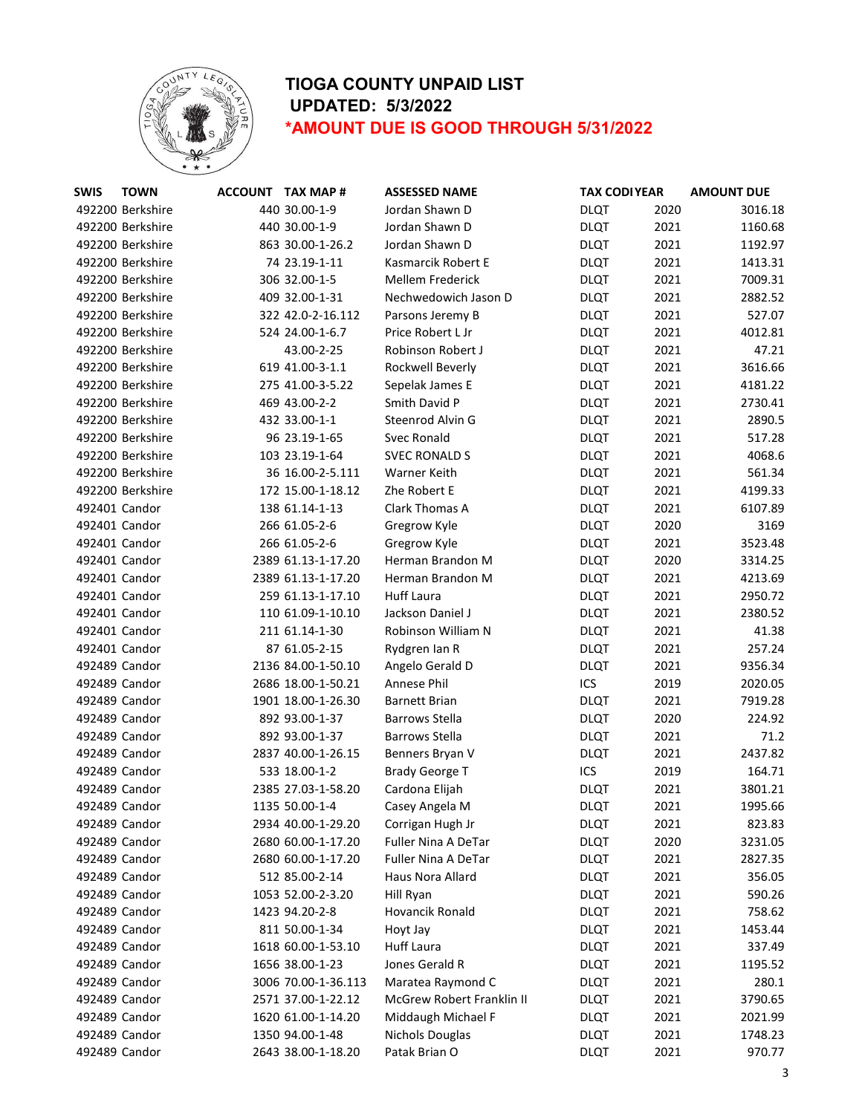

| <b>SWIS</b>   | <b>TOWN</b>      | <b>ACCOUNT TAX MAP #</b> | <b>ASSESSED NAME</b>       | <b>TAX CODI YEAR</b> |      | <b>AMOUNT DUE</b> |
|---------------|------------------|--------------------------|----------------------------|----------------------|------|-------------------|
|               | 492200 Berkshire | 440 30.00-1-9            | Jordan Shawn D             | <b>DLQT</b>          | 2020 | 3016.18           |
|               | 492200 Berkshire | 440 30.00-1-9            | Jordan Shawn D             | <b>DLQT</b>          | 2021 | 1160.68           |
|               | 492200 Berkshire | 863 30.00-1-26.2         | Jordan Shawn D             | <b>DLQT</b>          | 2021 | 1192.97           |
|               | 492200 Berkshire | 74 23.19-1-11            | Kasmarcik Robert E         | <b>DLQT</b>          | 2021 | 1413.31           |
|               | 492200 Berkshire | 306 32.00-1-5            | <b>Mellem Frederick</b>    | <b>DLQT</b>          | 2021 | 7009.31           |
|               | 492200 Berkshire | 409 32.00-1-31           | Nechwedowich Jason D       | <b>DLQT</b>          | 2021 | 2882.52           |
|               | 492200 Berkshire | 322 42.0-2-16.112        | Parsons Jeremy B           | <b>DLQT</b>          | 2021 | 527.07            |
|               | 492200 Berkshire | 524 24.00-1-6.7          | Price Robert L Jr          | <b>DLQT</b>          | 2021 | 4012.81           |
|               | 492200 Berkshire | 43.00-2-25               | Robinson Robert J          | <b>DLQT</b>          | 2021 | 47.21             |
|               | 492200 Berkshire | 619 41.00-3-1.1          | Rockwell Beverly           | <b>DLQT</b>          | 2021 | 3616.66           |
|               | 492200 Berkshire | 275 41.00-3-5.22         | Sepelak James E            | <b>DLQT</b>          | 2021 | 4181.22           |
|               | 492200 Berkshire | 469 43.00-2-2            | Smith David P              | <b>DLQT</b>          | 2021 | 2730.41           |
|               | 492200 Berkshire | 432 33.00-1-1            | Steenrod Alvin G           | <b>DLQT</b>          | 2021 | 2890.5            |
|               | 492200 Berkshire | 96 23.19-1-65            | Svec Ronald                | <b>DLQT</b>          | 2021 | 517.28            |
|               | 492200 Berkshire | 103 23.19-1-64           | <b>SVEC RONALD S</b>       | <b>DLQT</b>          | 2021 | 4068.6            |
|               | 492200 Berkshire | 36 16.00-2-5.111         | Warner Keith               | <b>DLQT</b>          | 2021 | 561.34            |
|               | 492200 Berkshire | 172 15.00-1-18.12        | Zhe Robert E               | <b>DLQT</b>          | 2021 | 4199.33           |
| 492401 Candor |                  | 138 61.14-1-13           | Clark Thomas A             | <b>DLQT</b>          | 2021 | 6107.89           |
| 492401 Candor |                  | 266 61.05-2-6            | Gregrow Kyle               | <b>DLQT</b>          | 2020 | 3169              |
| 492401 Candor |                  | 266 61.05-2-6            | Gregrow Kyle               | <b>DLQT</b>          | 2021 | 3523.48           |
| 492401 Candor |                  | 2389 61.13-1-17.20       | Herman Brandon M           | <b>DLQT</b>          | 2020 | 3314.25           |
| 492401 Candor |                  | 2389 61.13-1-17.20       | Herman Brandon M           | <b>DLQT</b>          | 2021 | 4213.69           |
| 492401 Candor |                  | 259 61.13-1-17.10        | <b>Huff Laura</b>          | <b>DLQT</b>          | 2021 | 2950.72           |
| 492401 Candor |                  | 110 61.09-1-10.10        | Jackson Daniel J           | <b>DLQT</b>          | 2021 | 2380.52           |
| 492401 Candor |                  | 211 61.14-1-30           | Robinson William N         | <b>DLQT</b>          | 2021 | 41.38             |
| 492401 Candor |                  | 87 61.05-2-15            | Rydgren Ian R              | <b>DLQT</b>          | 2021 | 257.24            |
| 492489 Candor |                  | 2136 84.00-1-50.10       | Angelo Gerald D            | <b>DLQT</b>          | 2021 | 9356.34           |
| 492489 Candor |                  | 2686 18.00-1-50.21       | Annese Phil                | ICS                  | 2019 | 2020.05           |
| 492489 Candor |                  | 1901 18.00-1-26.30       | <b>Barnett Brian</b>       | <b>DLQT</b>          | 2021 | 7919.28           |
| 492489 Candor |                  | 892 93.00-1-37           | <b>Barrows Stella</b>      | <b>DLQT</b>          | 2020 | 224.92            |
| 492489 Candor |                  | 892 93.00-1-37           | <b>Barrows Stella</b>      | <b>DLQT</b>          | 2021 | 71.2              |
| 492489 Candor |                  | 2837 40.00-1-26.15       | Benners Bryan V            | <b>DLQT</b>          | 2021 | 2437.82           |
| 492489 Candor |                  | 533 18.00-1-2            | <b>Brady George T</b>      | ICS                  | 2019 | 164.71            |
| 492489 Candor |                  | 2385 27.03-1-58.20       | Cardona Elijah             | <b>DLQT</b>          | 2021 | 3801.21           |
| 492489 Candor |                  | 1135 50.00-1-4           | Casey Angela M             | <b>DLQT</b>          | 2021 | 1995.66           |
| 492489 Candor |                  | 2934 40.00-1-29.20       | Corrigan Hugh Jr           | <b>DLQT</b>          | 2021 | 823.83            |
| 492489 Candor |                  | 2680 60.00-1-17.20       | <b>Fuller Nina A DeTar</b> | <b>DLQT</b>          | 2020 | 3231.05           |
|               | 492489 Candor    | 2680 60.00-1-17.20       | <b>Fuller Nina A DeTar</b> | <b>DLQT</b>          | 2021 | 2827.35           |
|               | 492489 Candor    | 512 85.00-2-14           | Haus Nora Allard           | <b>DLQT</b>          | 2021 | 356.05            |
|               | 492489 Candor    | 1053 52.00-2-3.20        | Hill Ryan                  | <b>DLQT</b>          | 2021 | 590.26            |
|               | 492489 Candor    | 1423 94.20-2-8           | Hovancik Ronald            | <b>DLQT</b>          | 2021 | 758.62            |
|               | 492489 Candor    | 811 50.00-1-34           | Hoyt Jay                   | <b>DLQT</b>          | 2021 | 1453.44           |
|               | 492489 Candor    | 1618 60.00-1-53.10       | <b>Huff Laura</b>          | <b>DLQT</b>          | 2021 | 337.49            |
|               | 492489 Candor    | 1656 38.00-1-23          | Jones Gerald R             | <b>DLQT</b>          | 2021 | 1195.52           |
|               | 492489 Candor    | 3006 70.00-1-36.113      | Maratea Raymond C          | <b>DLQT</b>          | 2021 | 280.1             |
| 492489 Candor |                  | 2571 37.00-1-22.12       | McGrew Robert Franklin II  | <b>DLQT</b>          | 2021 | 3790.65           |
| 492489 Candor |                  | 1620 61.00-1-14.20       | Middaugh Michael F         | <b>DLQT</b>          | 2021 | 2021.99           |
| 492489 Candor |                  | 1350 94.00-1-48          | Nichols Douglas            | <b>DLQT</b>          | 2021 | 1748.23           |
|               | 492489 Candor    | 2643 38.00-1-18.20       | Patak Brian O              | <b>DLQT</b>          | 2021 | 970.77            |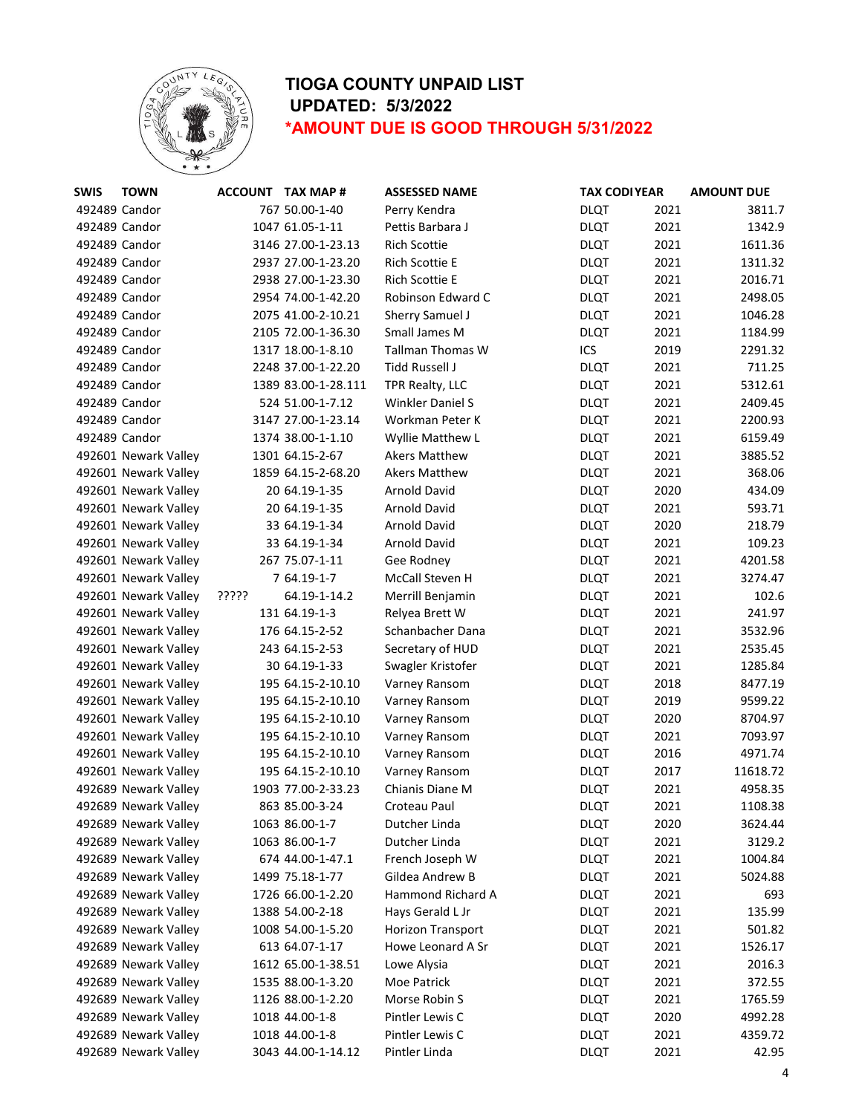

| <b>SWIS</b>   | <b>TOWN</b>          |       | <b>ACCOUNT TAX MAP#</b> | <b>ASSESSED NAME</b>    | <b>TAX CODI YEAR</b> | <b>AMOUNT DUE</b> |        |
|---------------|----------------------|-------|-------------------------|-------------------------|----------------------|-------------------|--------|
| 492489 Candor |                      |       | 767 50.00-1-40          | Perry Kendra            | <b>DLQT</b>          | 2021              | 3811.7 |
| 492489 Candor |                      |       | 1047 61.05-1-11         | Pettis Barbara J        | <b>DLQT</b>          | 2021              | 1342.9 |
| 492489 Candor |                      |       | 3146 27.00-1-23.13      | <b>Rich Scottie</b>     | <b>DLQT</b>          | 2021<br>1611.36   |        |
| 492489 Candor |                      |       | 2937 27.00-1-23.20      | Rich Scottie E          | <b>DLQT</b>          | 2021<br>1311.32   |        |
| 492489 Candor |                      |       | 2938 27.00-1-23.30      | <b>Rich Scottie E</b>   | <b>DLQT</b>          | 2021<br>2016.71   |        |
| 492489 Candor |                      |       | 2954 74.00-1-42.20      | Robinson Edward C       | <b>DLQT</b>          | 2021<br>2498.05   |        |
| 492489 Candor |                      |       | 2075 41.00-2-10.21      | Sherry Samuel J         | <b>DLQT</b>          | 2021<br>1046.28   |        |
| 492489 Candor |                      |       | 2105 72.00-1-36.30      | Small James M           | <b>DLQT</b>          | 2021<br>1184.99   |        |
| 492489 Candor |                      |       | 1317 18.00-1-8.10       | <b>Tallman Thomas W</b> | ICS                  | 2019<br>2291.32   |        |
| 492489 Candor |                      |       | 2248 37.00-1-22.20      | Tidd Russell J          | <b>DLQT</b>          | 2021              | 711.25 |
| 492489 Candor |                      |       | 1389 83.00-1-28.111     | TPR Realty, LLC         | <b>DLQT</b>          | 2021<br>5312.61   |        |
| 492489 Candor |                      |       | 524 51.00-1-7.12        | <b>Winkler Daniel S</b> | <b>DLQT</b>          | 2021<br>2409.45   |        |
| 492489 Candor |                      |       | 3147 27.00-1-23.14      | Workman Peter K         | <b>DLQT</b>          | 2021<br>2200.93   |        |
| 492489 Candor |                      |       | 1374 38.00-1-1.10       | Wyllie Matthew L        | <b>DLQT</b>          | 2021<br>6159.49   |        |
|               | 492601 Newark Valley |       | 1301 64.15-2-67         | <b>Akers Matthew</b>    | <b>DLQT</b>          | 2021<br>3885.52   |        |
|               | 492601 Newark Valley |       | 1859 64.15-2-68.20      | <b>Akers Matthew</b>    | <b>DLQT</b>          | 2021              | 368.06 |
|               | 492601 Newark Valley |       | 20 64.19-1-35           | <b>Arnold David</b>     | <b>DLQT</b>          | 2020              | 434.09 |
|               | 492601 Newark Valley |       | 20 64.19-1-35           | <b>Arnold David</b>     | <b>DLQT</b>          | 2021              | 593.71 |
|               | 492601 Newark Valley |       | 33 64.19-1-34           | <b>Arnold David</b>     | <b>DLQT</b>          | 2020              | 218.79 |
|               | 492601 Newark Valley |       | 33 64.19-1-34           | Arnold David            | <b>DLQT</b>          | 2021              | 109.23 |
|               | 492601 Newark Valley |       | 267 75.07-1-11          | Gee Rodney              | <b>DLQT</b>          | 2021<br>4201.58   |        |
|               | 492601 Newark Valley |       | 7 64.19-1-7             | McCall Steven H         | <b>DLQT</b>          | 2021<br>3274.47   |        |
|               | 492601 Newark Valley | ????? | 64.19-1-14.2            | Merrill Benjamin        | <b>DLQT</b>          | 2021              | 102.6  |
|               | 492601 Newark Valley |       | 131 64.19-1-3           | Relyea Brett W          | <b>DLQT</b>          | 2021              | 241.97 |
|               | 492601 Newark Valley |       | 176 64.15-2-52          | Schanbacher Dana        | <b>DLQT</b>          | 2021<br>3532.96   |        |
|               | 492601 Newark Valley |       | 243 64.15-2-53          | Secretary of HUD        | <b>DLQT</b>          | 2021<br>2535.45   |        |
|               | 492601 Newark Valley |       | 30 64.19-1-33           | Swagler Kristofer       | <b>DLQT</b>          | 2021<br>1285.84   |        |
|               | 492601 Newark Valley |       | 195 64.15-2-10.10       | Varney Ransom           | <b>DLQT</b>          | 2018<br>8477.19   |        |
|               | 492601 Newark Valley |       | 195 64.15-2-10.10       | Varney Ransom           | <b>DLQT</b>          | 2019<br>9599.22   |        |
|               | 492601 Newark Valley |       | 195 64.15-2-10.10       | Varney Ransom           | <b>DLQT</b>          | 2020<br>8704.97   |        |
|               | 492601 Newark Valley |       | 195 64.15-2-10.10       | Varney Ransom           | <b>DLQT</b>          | 2021<br>7093.97   |        |
|               | 492601 Newark Valley |       | 195 64.15-2-10.10       | Varney Ransom           | <b>DLQT</b>          | 2016<br>4971.74   |        |
|               | 492601 Newark Valley |       | 195 64.15-2-10.10       | Varney Ransom           | <b>DLQT</b>          | 2017<br>11618.72  |        |
|               | 492689 Newark Valley |       | 1903 77.00-2-33.23      | Chianis Diane M         | <b>DLQT</b>          | 2021<br>4958.35   |        |
|               | 492689 Newark Valley |       | 863 85.00-3-24          | Croteau Paul            | <b>DLQT</b>          | 2021<br>1108.38   |        |
|               | 492689 Newark Valley |       | 1063 86.00-1-7          | Dutcher Linda           | <b>DLQT</b>          | 2020<br>3624.44   |        |
|               | 492689 Newark Valley |       | 1063 86.00-1-7          | Dutcher Linda           | <b>DLQT</b>          | 2021              | 3129.2 |
|               | 492689 Newark Valley |       | 674 44.00-1-47.1        | French Joseph W         | <b>DLQT</b>          | 2021<br>1004.84   |        |
|               | 492689 Newark Valley |       | 1499 75.18-1-77         | Gildea Andrew B         | <b>DLQT</b>          | 2021<br>5024.88   |        |
|               | 492689 Newark Valley |       | 1726 66.00-1-2.20       | Hammond Richard A       | <b>DLQT</b>          | 2021              | 693    |
|               | 492689 Newark Valley |       | 1388 54.00-2-18         | Hays Gerald L Jr        | <b>DLQT</b>          | 2021              | 135.99 |
|               | 492689 Newark Valley |       | 1008 54.00-1-5.20       | Horizon Transport       | <b>DLQT</b>          | 2021              | 501.82 |
|               | 492689 Newark Valley |       | 613 64.07-1-17          | Howe Leonard A Sr       | <b>DLQT</b>          | 2021<br>1526.17   |        |
|               | 492689 Newark Valley |       | 1612 65.00-1-38.51      | Lowe Alysia             | <b>DLQT</b>          | 2021              | 2016.3 |
|               | 492689 Newark Valley |       | 1535 88.00-1-3.20       | Moe Patrick             | <b>DLQT</b>          | 2021              | 372.55 |
|               | 492689 Newark Valley |       | 1126 88.00-1-2.20       | Morse Robin S           | <b>DLQT</b>          | 2021<br>1765.59   |        |
|               | 492689 Newark Valley |       | 1018 44.00-1-8          | Pintler Lewis C         | <b>DLQT</b>          | 2020<br>4992.28   |        |
|               | 492689 Newark Valley |       | 1018 44.00-1-8          | Pintler Lewis C         | <b>DLQT</b>          | 2021<br>4359.72   |        |
|               | 492689 Newark Valley |       | 3043 44.00-1-14.12      | Pintler Linda           | <b>DLQT</b>          | 2021              | 42.95  |
|               |                      |       |                         |                         |                      |                   |        |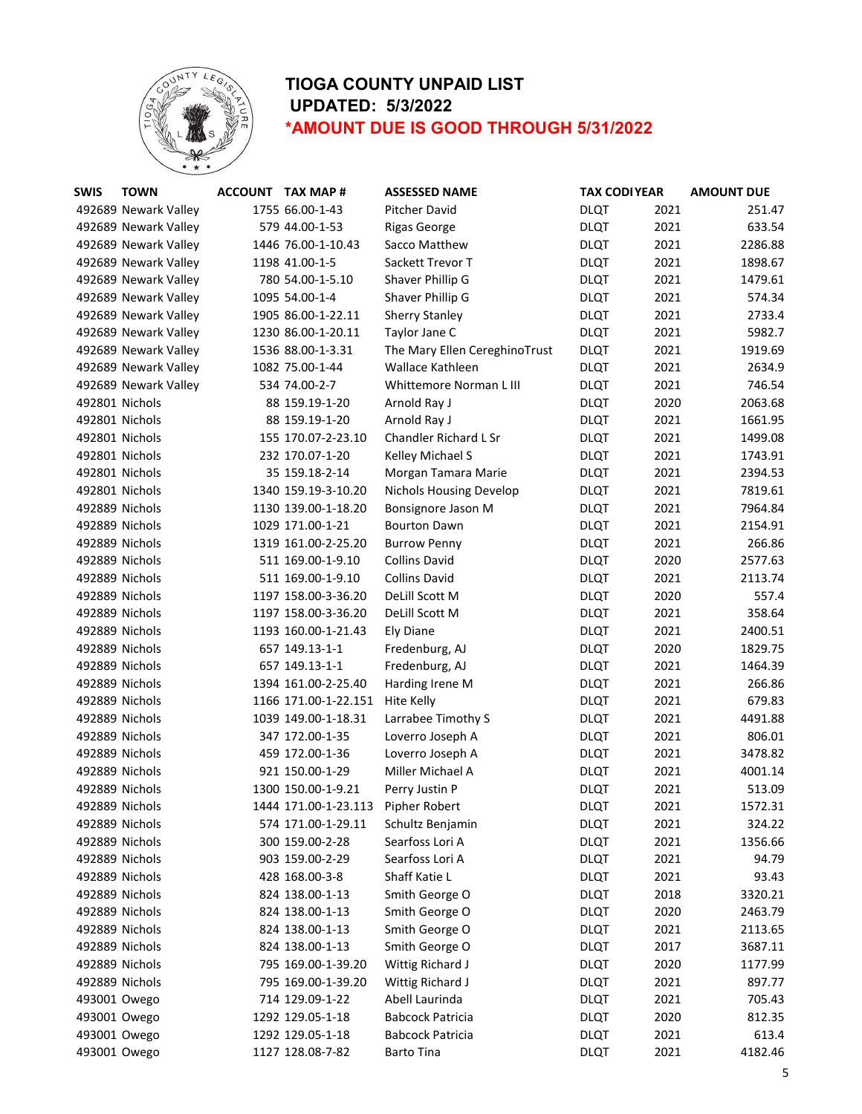

| <b>SWIS</b>    | <b>TOWN</b>          | ACCOUNT TAX MAP #    | <b>ASSESSED NAME</b>           | <b>TAX CODI YEAR</b> |      | <b>AMOUNT DUE</b> |
|----------------|----------------------|----------------------|--------------------------------|----------------------|------|-------------------|
|                | 492689 Newark Valley | 1755 66.00-1-43      | Pitcher David                  | <b>DLQT</b>          | 2021 | 251.47            |
|                | 492689 Newark Valley | 579 44.00-1-53       | <b>Rigas George</b>            | <b>DLQT</b>          | 2021 | 633.54            |
|                | 492689 Newark Valley | 1446 76.00-1-10.43   | Sacco Matthew                  | <b>DLQT</b>          | 2021 | 2286.88           |
|                | 492689 Newark Valley | 1198 41.00-1-5       | Sackett Trevor T               | <b>DLQT</b>          | 2021 | 1898.67           |
|                | 492689 Newark Valley | 780 54.00-1-5.10     | Shaver Phillip G               | <b>DLQT</b>          | 2021 | 1479.61           |
|                | 492689 Newark Valley | 1095 54.00-1-4       | Shaver Phillip G               | <b>DLQT</b>          | 2021 | 574.34            |
|                | 492689 Newark Valley | 1905 86.00-1-22.11   | <b>Sherry Stanley</b>          | <b>DLQT</b>          | 2021 | 2733.4            |
|                | 492689 Newark Valley | 1230 86.00-1-20.11   | Taylor Jane C                  | <b>DLQT</b>          | 2021 | 5982.7            |
|                | 492689 Newark Valley | 1536 88.00-1-3.31    | The Mary Ellen CereghinoTrust  | <b>DLQT</b>          | 2021 | 1919.69           |
|                | 492689 Newark Valley | 1082 75.00-1-44      | Wallace Kathleen               | <b>DLQT</b>          | 2021 | 2634.9            |
|                | 492689 Newark Valley | 534 74.00-2-7        | Whittemore Norman L III        | <b>DLQT</b>          | 2021 | 746.54            |
| 492801 Nichols |                      | 88 159.19-1-20       | Arnold Ray J                   | <b>DLQT</b>          | 2020 | 2063.68           |
| 492801 Nichols |                      | 88 159.19-1-20       | Arnold Ray J                   | <b>DLQT</b>          | 2021 | 1661.95           |
| 492801 Nichols |                      | 155 170.07-2-23.10   | Chandler Richard L Sr          | <b>DLQT</b>          | 2021 | 1499.08           |
| 492801 Nichols |                      | 232 170.07-1-20      | Kelley Michael S               | <b>DLQT</b>          | 2021 | 1743.91           |
| 492801 Nichols |                      | 35 159.18-2-14       | Morgan Tamara Marie            | <b>DLQT</b>          | 2021 | 2394.53           |
| 492801 Nichols |                      | 1340 159.19-3-10.20  | <b>Nichols Housing Develop</b> | <b>DLQT</b>          | 2021 | 7819.61           |
| 492889 Nichols |                      | 1130 139.00-1-18.20  | Bonsignore Jason M             | <b>DLQT</b>          | 2021 | 7964.84           |
| 492889 Nichols |                      | 1029 171.00-1-21     | <b>Bourton Dawn</b>            | <b>DLQT</b>          | 2021 | 2154.91           |
| 492889 Nichols |                      | 1319 161.00-2-25.20  | <b>Burrow Penny</b>            | <b>DLQT</b>          | 2021 | 266.86            |
| 492889 Nichols |                      | 511 169.00-1-9.10    | <b>Collins David</b>           | <b>DLQT</b>          | 2020 | 2577.63           |
| 492889 Nichols |                      | 511 169.00-1-9.10    | <b>Collins David</b>           | <b>DLQT</b>          | 2021 | 2113.74           |
| 492889 Nichols |                      | 1197 158.00-3-36.20  | DeLill Scott M                 | <b>DLQT</b>          | 2020 | 557.4             |
| 492889 Nichols |                      | 1197 158.00-3-36.20  | DeLill Scott M                 | <b>DLQT</b>          | 2021 | 358.64            |
| 492889 Nichols |                      | 1193 160.00-1-21.43  | <b>Ely Diane</b>               | <b>DLQT</b>          | 2021 | 2400.51           |
| 492889 Nichols |                      | 657 149.13-1-1       | Fredenburg, AJ                 | <b>DLQT</b>          | 2020 | 1829.75           |
| 492889 Nichols |                      | 657 149.13-1-1       | Fredenburg, AJ                 | <b>DLQT</b>          | 2021 | 1464.39           |
| 492889 Nichols |                      | 1394 161.00-2-25.40  | Harding Irene M                | <b>DLQT</b>          | 2021 | 266.86            |
| 492889 Nichols |                      | 1166 171.00-1-22.151 | Hite Kelly                     | <b>DLQT</b>          | 2021 | 679.83            |
| 492889 Nichols |                      | 1039 149.00-1-18.31  | Larrabee Timothy S             | <b>DLQT</b>          | 2021 | 4491.88           |
| 492889 Nichols |                      | 347 172.00-1-35      | Loverro Joseph A               | <b>DLQT</b>          | 2021 | 806.01            |
| 492889 Nichols |                      | 459 172.00-1-36      | Loverro Joseph A               | <b>DLQT</b>          | 2021 | 3478.82           |
| 492889 Nichols |                      | 921 150.00-1-29      | Miller Michael A               | <b>DLQT</b>          | 2021 | 4001.14           |
| 492889 Nichols |                      | 1300 150.00-1-9.21   | Perry Justin P                 | <b>DLQT</b>          | 2021 | 513.09            |
| 492889 Nichols |                      | 1444 171.00-1-23.113 | Pipher Robert                  | <b>DLQT</b>          | 2021 | 1572.31           |
| 492889 Nichols |                      | 574 171.00-1-29.11   | Schultz Benjamin               | <b>DLQT</b>          | 2021 | 324.22            |
| 492889 Nichols |                      | 300 159.00-2-28      | Searfoss Lori A                | <b>DLQT</b>          | 2021 | 1356.66           |
| 492889 Nichols |                      | 903 159.00-2-29      | Searfoss Lori A                | <b>DLQT</b>          | 2021 | 94.79             |
| 492889 Nichols |                      | 428 168.00-3-8       | Shaff Katie L                  | <b>DLQT</b>          | 2021 | 93.43             |
| 492889 Nichols |                      | 824 138.00-1-13      | Smith George O                 | <b>DLQT</b>          | 2018 | 3320.21           |
|                | 492889 Nichols       | 824 138.00-1-13      | Smith George O                 | <b>DLQT</b>          | 2020 | 2463.79           |
|                | 492889 Nichols       | 824 138.00-1-13      | Smith George O                 | <b>DLQT</b>          | 2021 | 2113.65           |
| 492889 Nichols |                      | 824 138.00-1-13      | Smith George O                 | <b>DLQT</b>          | 2017 | 3687.11           |
|                | 492889 Nichols       | 795 169.00-1-39.20   | Wittig Richard J               | <b>DLQT</b>          | 2020 | 1177.99           |
| 492889 Nichols |                      | 795 169.00-1-39.20   | Wittig Richard J               | <b>DLQT</b>          | 2021 | 897.77            |
| 493001 Owego   |                      | 714 129.09-1-22      | Abell Laurinda                 | <b>DLQT</b>          | 2021 | 705.43            |
| 493001 Owego   |                      | 1292 129.05-1-18     | <b>Babcock Patricia</b>        | <b>DLQT</b>          | 2020 | 812.35            |
| 493001 Owego   |                      | 1292 129.05-1-18     | <b>Babcock Patricia</b>        | <b>DLQT</b>          | 2021 | 613.4             |
| 493001 Owego   |                      | 1127 128.08-7-82     | <b>Barto Tina</b>              | <b>DLQT</b>          | 2021 | 4182.46           |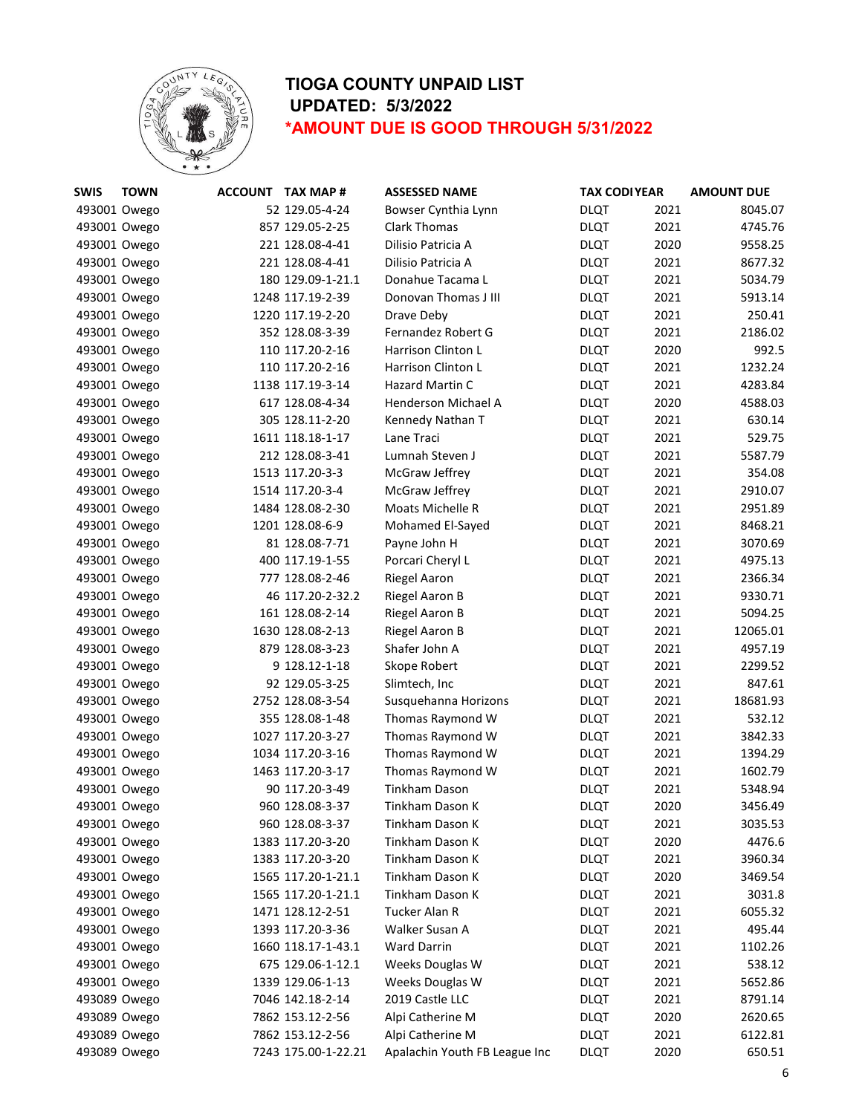

| <b>SWIS</b>  | <b>TOWN</b> | <b>ACCOUNT TAX MAP #</b> | <b>ASSESSED NAME</b>          | <b>TAX CODI YEAR</b> |      | <b>AMOUNT DUE</b> |
|--------------|-------------|--------------------------|-------------------------------|----------------------|------|-------------------|
| 493001 Owego |             | 52 129.05-4-24           | Bowser Cynthia Lynn           | <b>DLQT</b>          | 2021 | 8045.07           |
| 493001 Owego |             | 857 129.05-2-25          | <b>Clark Thomas</b>           | <b>DLQT</b>          | 2021 | 4745.76           |
| 493001 Owego |             | 221 128.08-4-41          | Dilisio Patricia A            | <b>DLQT</b>          | 2020 | 9558.25           |
| 493001 Owego |             | 221 128.08-4-41          | Dilisio Patricia A            | <b>DLQT</b>          | 2021 | 8677.32           |
| 493001 Owego |             | 180 129.09-1-21.1        | Donahue Tacama L              | <b>DLQT</b>          | 2021 | 5034.79           |
| 493001 Owego |             | 1248 117.19-2-39         | Donovan Thomas J III          | <b>DLQT</b>          | 2021 | 5913.14           |
| 493001 Owego |             | 1220 117.19-2-20         | Drave Deby                    | <b>DLQT</b>          | 2021 | 250.41            |
| 493001 Owego |             | 352 128.08-3-39          | Fernandez Robert G            | <b>DLQT</b>          | 2021 | 2186.02           |
| 493001 Owego |             | 110 117.20-2-16          | Harrison Clinton L            | <b>DLQT</b>          | 2020 | 992.5             |
| 493001 Owego |             | 110 117.20-2-16          | Harrison Clinton L            | <b>DLQT</b>          | 2021 | 1232.24           |
| 493001 Owego |             | 1138 117.19-3-14         | Hazard Martin C               | <b>DLQT</b>          | 2021 | 4283.84           |
| 493001 Owego |             | 617 128.08-4-34          | Henderson Michael A           | <b>DLQT</b>          | 2020 | 4588.03           |
| 493001 Owego |             | 305 128.11-2-20          | Kennedy Nathan T              | <b>DLQT</b>          | 2021 | 630.14            |
| 493001 Owego |             | 1611 118.18-1-17         | Lane Traci                    | <b>DLQT</b>          | 2021 | 529.75            |
| 493001 Owego |             | 212 128.08-3-41          | Lumnah Steven J               | <b>DLQT</b>          | 2021 | 5587.79           |
| 493001 Owego |             | 1513 117.20-3-3          | McGraw Jeffrey                | <b>DLQT</b>          | 2021 | 354.08            |
| 493001 Owego |             | 1514 117.20-3-4          | McGraw Jeffrey                | <b>DLQT</b>          | 2021 | 2910.07           |
| 493001 Owego |             | 1484 128.08-2-30         | Moats Michelle R              | <b>DLQT</b>          | 2021 | 2951.89           |
| 493001 Owego |             | 1201 128.08-6-9          | Mohamed El-Sayed              | <b>DLQT</b>          | 2021 | 8468.21           |
| 493001 Owego |             | 81 128.08-7-71           | Payne John H                  | <b>DLQT</b>          | 2021 | 3070.69           |
| 493001 Owego |             | 400 117.19-1-55          | Porcari Cheryl L              | <b>DLQT</b>          | 2021 | 4975.13           |
| 493001 Owego |             | 777 128.08-2-46          | <b>Riegel Aaron</b>           | <b>DLQT</b>          | 2021 | 2366.34           |
| 493001 Owego |             | 46 117.20-2-32.2         | Riegel Aaron B                | <b>DLQT</b>          | 2021 | 9330.71           |
| 493001 Owego |             | 161 128.08-2-14          | Riegel Aaron B                | <b>DLQT</b>          | 2021 | 5094.25           |
| 493001 Owego |             | 1630 128.08-2-13         | Riegel Aaron B                | <b>DLQT</b>          | 2021 | 12065.01          |
| 493001 Owego |             | 879 128.08-3-23          | Shafer John A                 | <b>DLQT</b>          | 2021 | 4957.19           |
| 493001 Owego |             | 9 128.12-1-18            | Skope Robert                  | <b>DLQT</b>          | 2021 | 2299.52           |
| 493001 Owego |             | 92 129.05-3-25           | Slimtech, Inc                 | <b>DLQT</b>          | 2021 | 847.61            |
| 493001 Owego |             | 2752 128.08-3-54         | Susquehanna Horizons          | <b>DLQT</b>          | 2021 | 18681.93          |
| 493001 Owego |             | 355 128.08-1-48          | Thomas Raymond W              | <b>DLQT</b>          | 2021 | 532.12            |
| 493001 Owego |             | 1027 117.20-3-27         | Thomas Raymond W              | <b>DLQT</b>          | 2021 | 3842.33           |
| 493001 Owego |             | 1034 117.20-3-16         | Thomas Raymond W              | <b>DLQT</b>          | 2021 | 1394.29           |
| 493001 Owego |             | 1463 117.20-3-17         | Thomas Raymond W              | <b>DLQT</b>          | 2021 | 1602.79           |
| 493001 Owego |             | 90 117.20-3-49           | Tinkham Dason                 | <b>DLQT</b>          | 2021 | 5348.94           |
| 493001 Owego |             | 960 128.08-3-37          | Tinkham Dason K               | <b>DLQT</b>          | 2020 | 3456.49           |
| 493001 Owego |             | 960 128.08-3-37          | Tinkham Dason K               | <b>DLQT</b>          | 2021 | 3035.53           |
| 493001 Owego |             | 1383 117.20-3-20         | Tinkham Dason K               | <b>DLQT</b>          | 2020 | 4476.6            |
| 493001 Owego |             | 1383 117.20-3-20         | Tinkham Dason K               | <b>DLQT</b>          | 2021 | 3960.34           |
| 493001 Owego |             | 1565 117.20-1-21.1       | Tinkham Dason K               | <b>DLQT</b>          | 2020 | 3469.54           |
| 493001 Owego |             | 1565 117.20-1-21.1       | Tinkham Dason K               | <b>DLQT</b>          | 2021 | 3031.8            |
| 493001 Owego |             | 1471 128.12-2-51         | Tucker Alan R                 | <b>DLQT</b>          | 2021 | 6055.32           |
| 493001 Owego |             | 1393 117.20-3-36         | Walker Susan A                | <b>DLQT</b>          | 2021 | 495.44            |
| 493001 Owego |             | 1660 118.17-1-43.1       | <b>Ward Darrin</b>            | <b>DLQT</b>          | 2021 | 1102.26           |
| 493001 Owego |             | 675 129.06-1-12.1        | Weeks Douglas W               | <b>DLQT</b>          | 2021 | 538.12            |
| 493001 Owego |             | 1339 129.06-1-13         | Weeks Douglas W               | <b>DLQT</b>          | 2021 | 5652.86           |
| 493089 Owego |             | 7046 142.18-2-14         | 2019 Castle LLC               | <b>DLQT</b>          | 2021 | 8791.14           |
| 493089 Owego |             | 7862 153.12-2-56         | Alpi Catherine M              | <b>DLQT</b>          | 2020 | 2620.65           |
| 493089 Owego |             | 7862 153.12-2-56         | Alpi Catherine M              | <b>DLQT</b>          | 2021 | 6122.81           |
| 493089 Owego |             | 7243 175.00-1-22.21      | Apalachin Youth FB League Inc | <b>DLQT</b>          | 2020 | 650.51            |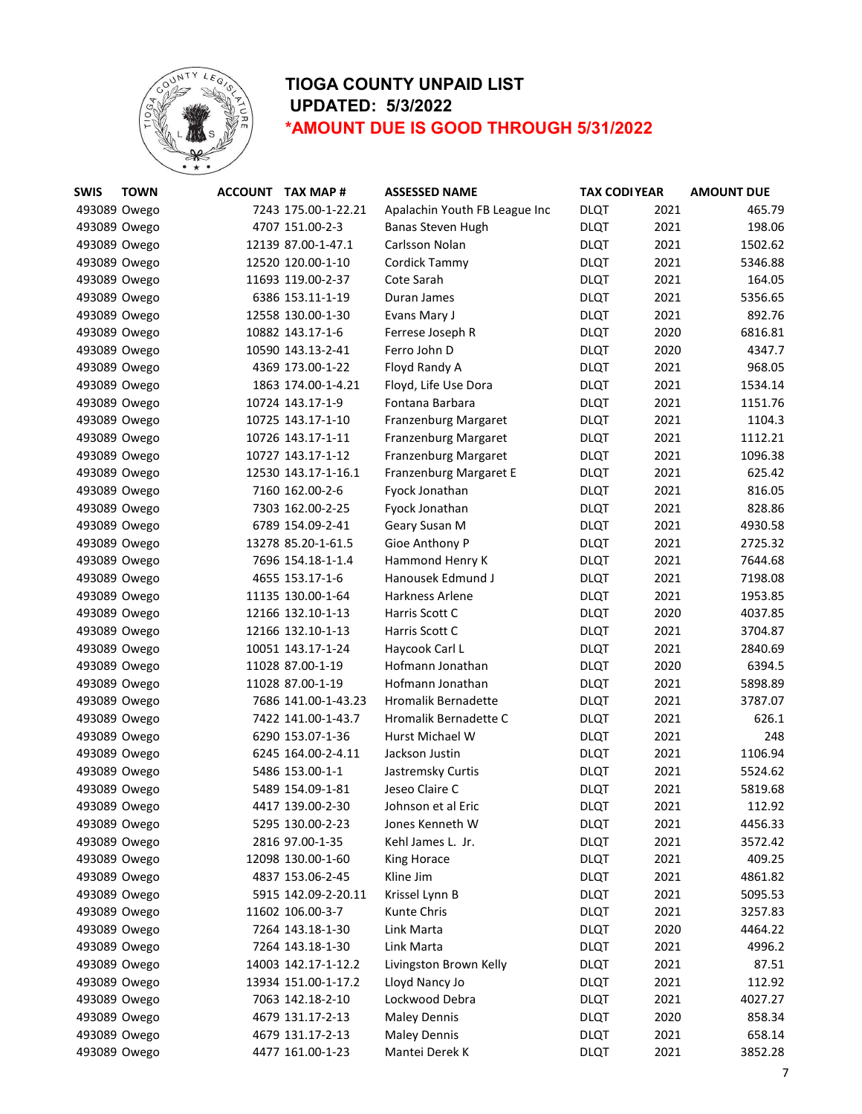

| <b>SWIS</b>  | <b>TOWN</b> | ACCOUNT TAX MAP #   | <b>ASSESSED NAME</b>          | <b>TAX CODI YEAR</b> |      | <b>AMOUNT DUE</b> |
|--------------|-------------|---------------------|-------------------------------|----------------------|------|-------------------|
| 493089 Owego |             | 7243 175.00-1-22.21 | Apalachin Youth FB League Inc | <b>DLQT</b>          | 2021 | 465.79            |
| 493089 Owego |             | 4707 151.00-2-3     | Banas Steven Hugh             | <b>DLQT</b>          | 2021 | 198.06            |
| 493089 Owego |             | 12139 87.00-1-47.1  | Carlsson Nolan                | <b>DLQT</b>          | 2021 | 1502.62           |
| 493089 Owego |             | 12520 120.00-1-10   | Cordick Tammy                 | <b>DLQT</b>          | 2021 | 5346.88           |
| 493089 Owego |             | 11693 119.00-2-37   | Cote Sarah                    | <b>DLQT</b>          | 2021 | 164.05            |
| 493089 Owego |             | 6386 153.11-1-19    | Duran James                   | <b>DLQT</b>          | 2021 | 5356.65           |
| 493089 Owego |             | 12558 130.00-1-30   | Evans Mary J                  | <b>DLQT</b>          | 2021 | 892.76            |
| 493089 Owego |             | 10882 143.17-1-6    | Ferrese Joseph R              | <b>DLQT</b>          | 2020 | 6816.81           |
| 493089 Owego |             | 10590 143.13-2-41   | Ferro John D                  | <b>DLQT</b>          | 2020 | 4347.7            |
| 493089 Owego |             | 4369 173.00-1-22    | Floyd Randy A                 | <b>DLQT</b>          | 2021 | 968.05            |
| 493089 Owego |             | 1863 174.00-1-4.21  | Floyd, Life Use Dora          | <b>DLQT</b>          | 2021 | 1534.14           |
| 493089 Owego |             | 10724 143.17-1-9    | Fontana Barbara               | <b>DLQT</b>          | 2021 | 1151.76           |
| 493089 Owego |             | 10725 143.17-1-10   | <b>Franzenburg Margaret</b>   | <b>DLQT</b>          | 2021 | 1104.3            |
| 493089 Owego |             | 10726 143.17-1-11   | <b>Franzenburg Margaret</b>   | <b>DLQT</b>          | 2021 | 1112.21           |
| 493089 Owego |             | 10727 143.17-1-12   | <b>Franzenburg Margaret</b>   | <b>DLQT</b>          | 2021 | 1096.38           |
| 493089 Owego |             | 12530 143.17-1-16.1 | Franzenburg Margaret E        | <b>DLQT</b>          | 2021 | 625.42            |
| 493089 Owego |             | 7160 162.00-2-6     | Fyock Jonathan                | <b>DLQT</b>          | 2021 | 816.05            |
| 493089 Owego |             | 7303 162.00-2-25    | Fyock Jonathan                | <b>DLQT</b>          | 2021 | 828.86            |
| 493089 Owego |             | 6789 154.09-2-41    | Geary Susan M                 | <b>DLQT</b>          | 2021 | 4930.58           |
| 493089 Owego |             | 13278 85.20-1-61.5  | Gioe Anthony P                | <b>DLQT</b>          | 2021 | 2725.32           |
| 493089 Owego |             | 7696 154.18-1-1.4   | Hammond Henry K               | <b>DLQT</b>          | 2021 | 7644.68           |
| 493089 Owego |             | 4655 153.17-1-6     | Hanousek Edmund J             | <b>DLQT</b>          | 2021 | 7198.08           |
| 493089 Owego |             | 11135 130.00-1-64   | Harkness Arlene               | <b>DLQT</b>          | 2021 | 1953.85           |
| 493089 Owego |             | 12166 132.10-1-13   | Harris Scott C                | <b>DLQT</b>          | 2020 | 4037.85           |
| 493089 Owego |             | 12166 132.10-1-13   | Harris Scott C                | <b>DLQT</b>          | 2021 | 3704.87           |
| 493089 Owego |             | 10051 143.17-1-24   | Haycook Carl L                | <b>DLQT</b>          | 2021 | 2840.69           |
| 493089 Owego |             | 11028 87.00-1-19    | Hofmann Jonathan              | <b>DLQT</b>          | 2020 | 6394.5            |
| 493089 Owego |             | 11028 87.00-1-19    | Hofmann Jonathan              | <b>DLQT</b>          | 2021 | 5898.89           |
| 493089 Owego |             | 7686 141.00-1-43.23 | <b>Hromalik Bernadette</b>    | <b>DLQT</b>          | 2021 | 3787.07           |
| 493089 Owego |             | 7422 141.00-1-43.7  | Hromalik Bernadette C         | <b>DLQT</b>          | 2021 | 626.1             |
| 493089 Owego |             | 6290 153.07-1-36    | Hurst Michael W               | <b>DLQT</b>          | 2021 | 248               |
| 493089 Owego |             | 6245 164.00-2-4.11  | Jackson Justin                | <b>DLQT</b>          | 2021 | 1106.94           |
| 493089 Owego |             | 5486 153.00-1-1     | Jastremsky Curtis             | <b>DLQT</b>          | 2021 | 5524.62           |
| 493089 Owego |             | 5489 154.09-1-81    | Jeseo Claire C                | <b>DLQT</b>          | 2021 | 5819.68           |
| 493089 Owego |             | 4417 139.00-2-30    | Johnson et al Eric            | <b>DLQT</b>          | 2021 | 112.92            |
| 493089 Owego |             | 5295 130.00-2-23    | Jones Kenneth W               | <b>DLQT</b>          | 2021 | 4456.33           |
| 493089 Owego |             | 2816 97.00-1-35     | Kehl James L. Jr.             | <b>DLQT</b>          | 2021 | 3572.42           |
| 493089 Owego |             | 12098 130.00-1-60   | King Horace                   | <b>DLQT</b>          | 2021 | 409.25            |
| 493089 Owego |             | 4837 153.06-2-45    | Kline Jim                     | <b>DLQT</b>          | 2021 | 4861.82           |
| 493089 Owego |             | 5915 142.09-2-20.11 | Krissel Lynn B                | <b>DLQT</b>          | 2021 | 5095.53           |
| 493089 Owego |             | 11602 106.00-3-7    | Kunte Chris                   | <b>DLQT</b>          | 2021 | 3257.83           |
| 493089 Owego |             | 7264 143.18-1-30    | Link Marta                    | <b>DLQT</b>          | 2020 | 4464.22           |
| 493089 Owego |             | 7264 143.18-1-30    | Link Marta                    | <b>DLQT</b>          | 2021 | 4996.2            |
| 493089 Owego |             | 14003 142.17-1-12.2 | Livingston Brown Kelly        | <b>DLQT</b>          | 2021 | 87.51             |
| 493089 Owego |             | 13934 151.00-1-17.2 | Lloyd Nancy Jo                | <b>DLQT</b>          | 2021 | 112.92            |
| 493089 Owego |             | 7063 142.18-2-10    | Lockwood Debra                | <b>DLQT</b>          | 2021 | 4027.27           |
| 493089 Owego |             | 4679 131.17-2-13    | <b>Maley Dennis</b>           | <b>DLQT</b>          | 2020 | 858.34            |
| 493089 Owego |             | 4679 131.17-2-13    | <b>Maley Dennis</b>           | <b>DLQT</b>          | 2021 | 658.14            |
| 493089 Owego |             | 4477 161.00-1-23    | Mantei Derek K                | <b>DLQT</b>          | 2021 | 3852.28           |
|              |             |                     |                               |                      |      |                   |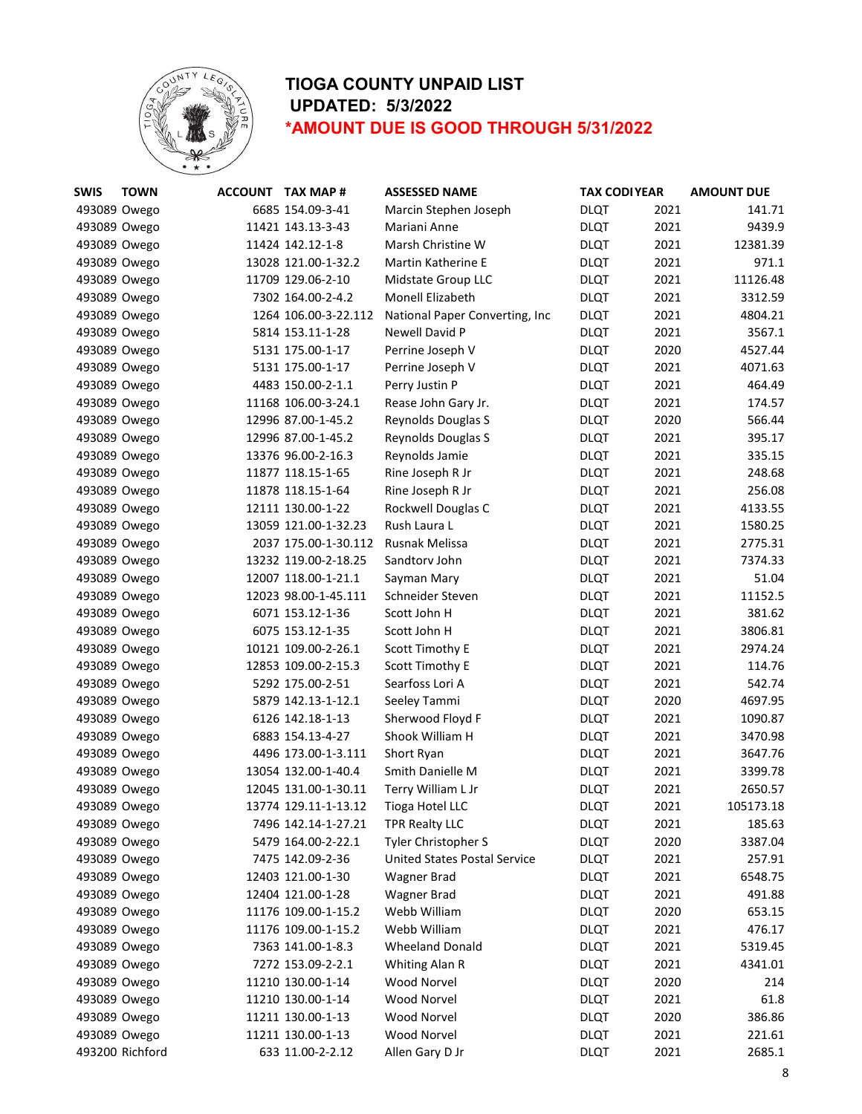

| <b>SWIS</b>  | <b>TOWN</b>     | ACCOUNT TAX MAP #    | <b>ASSESSED NAME</b>               | <b>TAX CODI YEAR</b> |      | <b>AMOUNT DUE</b> |
|--------------|-----------------|----------------------|------------------------------------|----------------------|------|-------------------|
| 493089 Owego |                 | 6685 154.09-3-41     | Marcin Stephen Joseph              | <b>DLQT</b>          | 2021 | 141.71            |
| 493089 Owego |                 | 11421 143.13-3-43    | Mariani Anne                       | <b>DLQT</b>          | 2021 | 9439.9            |
| 493089 Owego |                 | 11424 142.12-1-8     | Marsh Christine W                  | <b>DLQT</b>          | 2021 | 12381.39          |
| 493089 Owego |                 | 13028 121.00-1-32.2  | Martin Katherine E                 | <b>DLQT</b>          | 2021 | 971.1             |
| 493089 Owego |                 | 11709 129.06-2-10    | Midstate Group LLC                 | <b>DLQT</b>          | 2021 | 11126.48          |
| 493089 Owego |                 | 7302 164.00-2-4.2    | <b>Monell Elizabeth</b>            | <b>DLQT</b>          | 2021 | 3312.59           |
| 493089 Owego |                 | 1264 106.00-3-22.112 | National Paper Converting, Inc     | <b>DLQT</b>          | 2021 | 4804.21           |
| 493089 Owego |                 | 5814 153.11-1-28     | Newell David P                     | <b>DLQT</b>          | 2021 | 3567.1            |
| 493089 Owego |                 | 5131 175.00-1-17     | Perrine Joseph V                   | <b>DLQT</b>          | 2020 | 4527.44           |
| 493089 Owego |                 | 5131 175.00-1-17     | Perrine Joseph V                   | <b>DLQT</b>          | 2021 | 4071.63           |
| 493089 Owego |                 | 4483 150.00-2-1.1    | Perry Justin P                     | <b>DLQT</b>          | 2021 | 464.49            |
| 493089 Owego |                 | 11168 106.00-3-24.1  | Rease John Gary Jr.                | <b>DLQT</b>          | 2021 | 174.57            |
| 493089 Owego |                 | 12996 87.00-1-45.2   | Reynolds Douglas S                 | <b>DLQT</b>          | 2020 | 566.44            |
| 493089 Owego |                 | 12996 87.00-1-45.2   | Reynolds Douglas S                 | <b>DLQT</b>          | 2021 | 395.17            |
| 493089 Owego |                 | 13376 96.00-2-16.3   | Reynolds Jamie                     | <b>DLQT</b>          | 2021 | 335.15            |
| 493089 Owego |                 | 11877 118.15-1-65    | Rine Joseph R Jr                   | <b>DLQT</b>          | 2021 | 248.68            |
| 493089 Owego |                 | 11878 118.15-1-64    | Rine Joseph R Jr                   | <b>DLQT</b>          | 2021 | 256.08            |
| 493089 Owego |                 | 12111 130.00-1-22    | Rockwell Douglas C                 | <b>DLQT</b>          | 2021 | 4133.55           |
| 493089 Owego |                 | 13059 121.00-1-32.23 | Rush Laura L                       | <b>DLQT</b>          | 2021 | 1580.25           |
| 493089 Owego |                 | 2037 175.00-1-30.112 | <b>Rusnak Melissa</b>              | <b>DLQT</b>          | 2021 | 2775.31           |
| 493089 Owego |                 | 13232 119.00-2-18.25 | Sandtory John                      | <b>DLQT</b>          | 2021 | 7374.33           |
| 493089 Owego |                 | 12007 118.00-1-21.1  | Sayman Mary                        | <b>DLQT</b>          | 2021 | 51.04             |
| 493089 Owego |                 | 12023 98.00-1-45.111 | Schneider Steven                   | <b>DLQT</b>          | 2021 | 11152.5           |
| 493089 Owego |                 | 6071 153.12-1-36     | Scott John H                       | <b>DLQT</b>          | 2021 | 381.62            |
| 493089 Owego |                 | 6075 153.12-1-35     | Scott John H                       | <b>DLQT</b>          | 2021 | 3806.81           |
| 493089 Owego |                 | 10121 109.00-2-26.1  | Scott Timothy E                    | <b>DLQT</b>          | 2021 | 2974.24           |
| 493089 Owego |                 | 12853 109.00-2-15.3  | Scott Timothy E                    | <b>DLQT</b>          | 2021 | 114.76            |
| 493089 Owego |                 | 5292 175.00-2-51     | Searfoss Lori A                    | <b>DLQT</b>          | 2021 | 542.74            |
| 493089 Owego |                 | 5879 142.13-1-12.1   | Seeley Tammi                       | <b>DLQT</b>          | 2020 | 4697.95           |
| 493089 Owego |                 | 6126 142.18-1-13     | Sherwood Floyd F                   | <b>DLQT</b>          | 2021 | 1090.87           |
| 493089 Owego |                 | 6883 154.13-4-27     | Shook William H                    | <b>DLQT</b>          | 2021 | 3470.98           |
| 493089 Owego |                 | 4496 173.00-1-3.111  | Short Ryan                         | <b>DLQT</b>          | 2021 | 3647.76           |
| 493089 Owego |                 | 13054 132.00-1-40.4  | Smith Danielle M                   | <b>DLQT</b>          | 2021 | 3399.78           |
| 493089 Owego |                 | 12045 131.00-1-30.11 | Terry William L Jr                 | <b>DLQT</b>          | 2021 | 2650.57           |
| 493089 Owego |                 | 13774 129.11-1-13.12 | <b>Tioga Hotel LLC</b>             | <b>DLQT</b>          | 2021 | 105173.18         |
| 493089 Owego |                 | 7496 142.14-1-27.21  | <b>TPR Realty LLC</b>              | <b>DLQT</b>          | 2021 | 185.63            |
| 493089 Owego |                 | 5479 164.00-2-22.1   | Tyler Christopher S                | <b>DLQT</b>          | 2020 | 3387.04           |
|              |                 | 7475 142.09-2-36     | United States Postal Service       |                      | 2021 | 257.91            |
| 493089 Owego |                 | 12403 121.00-1-30    |                                    | <b>DLQT</b>          | 2021 | 6548.75           |
| 493089 Owego |                 |                      | <b>Wagner Brad</b>                 | <b>DLQT</b>          | 2021 | 491.88            |
| 493089 Owego |                 | 12404 121.00-1-28    | <b>Wagner Brad</b><br>Webb William | <b>DLQT</b>          |      |                   |
| 493089 Owego |                 | 11176 109.00-1-15.2  |                                    | <b>DLQT</b>          | 2020 | 653.15            |
| 493089 Owego |                 | 11176 109.00-1-15.2  | Webb William                       | <b>DLQT</b>          | 2021 | 476.17            |
| 493089 Owego |                 | 7363 141.00-1-8.3    | <b>Wheeland Donald</b>             | <b>DLQT</b>          | 2021 | 5319.45           |
| 493089 Owego |                 | 7272 153.09-2-2.1    | Whiting Alan R                     | <b>DLQT</b>          | 2021 | 4341.01           |
| 493089 Owego |                 | 11210 130.00-1-14    | Wood Norvel                        | <b>DLQT</b>          | 2020 | 214               |
| 493089 Owego |                 | 11210 130.00-1-14    | Wood Norvel                        | <b>DLQT</b>          | 2021 | 61.8              |
| 493089 Owego |                 | 11211 130.00-1-13    | Wood Norvel                        | <b>DLQT</b>          | 2020 | 386.86            |
| 493089 Owego |                 | 11211 130.00-1-13    | Wood Norvel                        | <b>DLQT</b>          | 2021 | 221.61            |
|              | 493200 Richford | 633 11.00-2-2.12     | Allen Gary D Jr                    | <b>DLQT</b>          | 2021 | 2685.1            |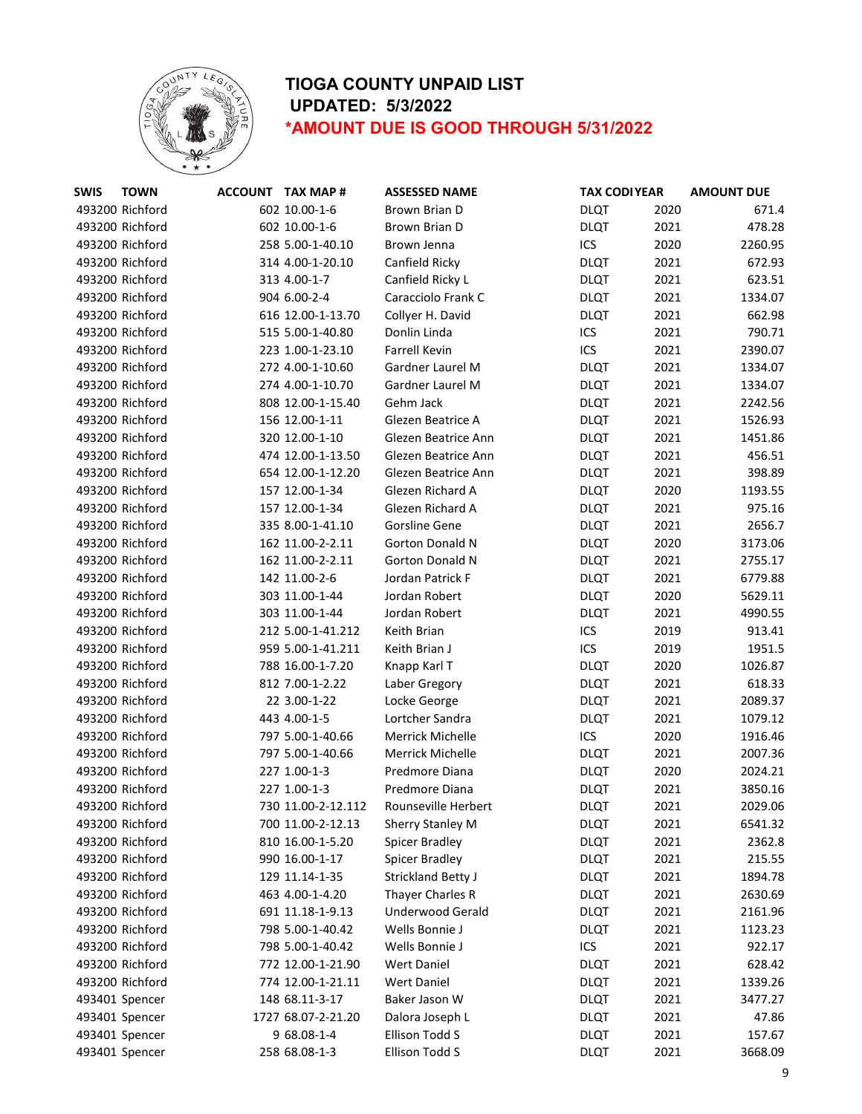

| <b>TOWN</b> |                                                                                                                                                                                                                                                                                                                                                                                                                                                                                                                                                                                                                                                                                                                                                                                                                                                                                                                                                             | <b>ASSESSED NAME</b>                                                                                                                                                                                                                                                                                                                                                                                                                                                                                                                                                                                                                                                                                                                                                                                                                                                                                                                                                                        |                                                                                                                                     |                                                  | <b>AMOUNT DUE</b>                                                                                            |
|-------------|-------------------------------------------------------------------------------------------------------------------------------------------------------------------------------------------------------------------------------------------------------------------------------------------------------------------------------------------------------------------------------------------------------------------------------------------------------------------------------------------------------------------------------------------------------------------------------------------------------------------------------------------------------------------------------------------------------------------------------------------------------------------------------------------------------------------------------------------------------------------------------------------------------------------------------------------------------------|---------------------------------------------------------------------------------------------------------------------------------------------------------------------------------------------------------------------------------------------------------------------------------------------------------------------------------------------------------------------------------------------------------------------------------------------------------------------------------------------------------------------------------------------------------------------------------------------------------------------------------------------------------------------------------------------------------------------------------------------------------------------------------------------------------------------------------------------------------------------------------------------------------------------------------------------------------------------------------------------|-------------------------------------------------------------------------------------------------------------------------------------|--------------------------------------------------|--------------------------------------------------------------------------------------------------------------|
|             |                                                                                                                                                                                                                                                                                                                                                                                                                                                                                                                                                                                                                                                                                                                                                                                                                                                                                                                                                             | Brown Brian D                                                                                                                                                                                                                                                                                                                                                                                                                                                                                                                                                                                                                                                                                                                                                                                                                                                                                                                                                                               | <b>DLQT</b>                                                                                                                         | 2020                                             | 671.4                                                                                                        |
|             |                                                                                                                                                                                                                                                                                                                                                                                                                                                                                                                                                                                                                                                                                                                                                                                                                                                                                                                                                             | Brown Brian D                                                                                                                                                                                                                                                                                                                                                                                                                                                                                                                                                                                                                                                                                                                                                                                                                                                                                                                                                                               | <b>DLQT</b>                                                                                                                         | 2021                                             | 478.28                                                                                                       |
|             |                                                                                                                                                                                                                                                                                                                                                                                                                                                                                                                                                                                                                                                                                                                                                                                                                                                                                                                                                             | Brown Jenna                                                                                                                                                                                                                                                                                                                                                                                                                                                                                                                                                                                                                                                                                                                                                                                                                                                                                                                                                                                 | ICS                                                                                                                                 | 2020                                             | 2260.95                                                                                                      |
|             |                                                                                                                                                                                                                                                                                                                                                                                                                                                                                                                                                                                                                                                                                                                                                                                                                                                                                                                                                             | Canfield Ricky                                                                                                                                                                                                                                                                                                                                                                                                                                                                                                                                                                                                                                                                                                                                                                                                                                                                                                                                                                              | <b>DLQT</b>                                                                                                                         | 2021                                             | 672.93                                                                                                       |
|             |                                                                                                                                                                                                                                                                                                                                                                                                                                                                                                                                                                                                                                                                                                                                                                                                                                                                                                                                                             | Canfield Ricky L                                                                                                                                                                                                                                                                                                                                                                                                                                                                                                                                                                                                                                                                                                                                                                                                                                                                                                                                                                            | <b>DLQT</b>                                                                                                                         | 2021                                             | 623.51                                                                                                       |
|             |                                                                                                                                                                                                                                                                                                                                                                                                                                                                                                                                                                                                                                                                                                                                                                                                                                                                                                                                                             | Caracciolo Frank C                                                                                                                                                                                                                                                                                                                                                                                                                                                                                                                                                                                                                                                                                                                                                                                                                                                                                                                                                                          | <b>DLQT</b>                                                                                                                         | 2021                                             | 1334.07                                                                                                      |
|             |                                                                                                                                                                                                                                                                                                                                                                                                                                                                                                                                                                                                                                                                                                                                                                                                                                                                                                                                                             | Collyer H. David                                                                                                                                                                                                                                                                                                                                                                                                                                                                                                                                                                                                                                                                                                                                                                                                                                                                                                                                                                            | <b>DLQT</b>                                                                                                                         | 2021                                             | 662.98                                                                                                       |
|             |                                                                                                                                                                                                                                                                                                                                                                                                                                                                                                                                                                                                                                                                                                                                                                                                                                                                                                                                                             | Donlin Linda                                                                                                                                                                                                                                                                                                                                                                                                                                                                                                                                                                                                                                                                                                                                                                                                                                                                                                                                                                                | ICS                                                                                                                                 | 2021                                             | 790.71                                                                                                       |
|             |                                                                                                                                                                                                                                                                                                                                                                                                                                                                                                                                                                                                                                                                                                                                                                                                                                                                                                                                                             | <b>Farrell Kevin</b>                                                                                                                                                                                                                                                                                                                                                                                                                                                                                                                                                                                                                                                                                                                                                                                                                                                                                                                                                                        | ICS                                                                                                                                 | 2021                                             | 2390.07                                                                                                      |
|             |                                                                                                                                                                                                                                                                                                                                                                                                                                                                                                                                                                                                                                                                                                                                                                                                                                                                                                                                                             | Gardner Laurel M                                                                                                                                                                                                                                                                                                                                                                                                                                                                                                                                                                                                                                                                                                                                                                                                                                                                                                                                                                            | <b>DLQT</b>                                                                                                                         | 2021                                             | 1334.07                                                                                                      |
|             |                                                                                                                                                                                                                                                                                                                                                                                                                                                                                                                                                                                                                                                                                                                                                                                                                                                                                                                                                             | Gardner Laurel M                                                                                                                                                                                                                                                                                                                                                                                                                                                                                                                                                                                                                                                                                                                                                                                                                                                                                                                                                                            | <b>DLQT</b>                                                                                                                         | 2021                                             | 1334.07                                                                                                      |
|             |                                                                                                                                                                                                                                                                                                                                                                                                                                                                                                                                                                                                                                                                                                                                                                                                                                                                                                                                                             | Gehm Jack                                                                                                                                                                                                                                                                                                                                                                                                                                                                                                                                                                                                                                                                                                                                                                                                                                                                                                                                                                                   | <b>DLQT</b>                                                                                                                         | 2021                                             | 2242.56                                                                                                      |
|             |                                                                                                                                                                                                                                                                                                                                                                                                                                                                                                                                                                                                                                                                                                                                                                                                                                                                                                                                                             | Glezen Beatrice A                                                                                                                                                                                                                                                                                                                                                                                                                                                                                                                                                                                                                                                                                                                                                                                                                                                                                                                                                                           | <b>DLQT</b>                                                                                                                         | 2021                                             | 1526.93                                                                                                      |
|             |                                                                                                                                                                                                                                                                                                                                                                                                                                                                                                                                                                                                                                                                                                                                                                                                                                                                                                                                                             | Glezen Beatrice Ann                                                                                                                                                                                                                                                                                                                                                                                                                                                                                                                                                                                                                                                                                                                                                                                                                                                                                                                                                                         | <b>DLQT</b>                                                                                                                         | 2021                                             | 1451.86                                                                                                      |
|             |                                                                                                                                                                                                                                                                                                                                                                                                                                                                                                                                                                                                                                                                                                                                                                                                                                                                                                                                                             | Glezen Beatrice Ann                                                                                                                                                                                                                                                                                                                                                                                                                                                                                                                                                                                                                                                                                                                                                                                                                                                                                                                                                                         | <b>DLQT</b>                                                                                                                         | 2021                                             | 456.51                                                                                                       |
|             |                                                                                                                                                                                                                                                                                                                                                                                                                                                                                                                                                                                                                                                                                                                                                                                                                                                                                                                                                             | Glezen Beatrice Ann                                                                                                                                                                                                                                                                                                                                                                                                                                                                                                                                                                                                                                                                                                                                                                                                                                                                                                                                                                         | <b>DLQT</b>                                                                                                                         | 2021                                             | 398.89                                                                                                       |
|             |                                                                                                                                                                                                                                                                                                                                                                                                                                                                                                                                                                                                                                                                                                                                                                                                                                                                                                                                                             | Glezen Richard A                                                                                                                                                                                                                                                                                                                                                                                                                                                                                                                                                                                                                                                                                                                                                                                                                                                                                                                                                                            | <b>DLQT</b>                                                                                                                         | 2020                                             | 1193.55                                                                                                      |
|             |                                                                                                                                                                                                                                                                                                                                                                                                                                                                                                                                                                                                                                                                                                                                                                                                                                                                                                                                                             | Glezen Richard A                                                                                                                                                                                                                                                                                                                                                                                                                                                                                                                                                                                                                                                                                                                                                                                                                                                                                                                                                                            | <b>DLQT</b>                                                                                                                         | 2021                                             | 975.16                                                                                                       |
|             |                                                                                                                                                                                                                                                                                                                                                                                                                                                                                                                                                                                                                                                                                                                                                                                                                                                                                                                                                             | Gorsline Gene                                                                                                                                                                                                                                                                                                                                                                                                                                                                                                                                                                                                                                                                                                                                                                                                                                                                                                                                                                               | <b>DLQT</b>                                                                                                                         | 2021                                             | 2656.7                                                                                                       |
|             |                                                                                                                                                                                                                                                                                                                                                                                                                                                                                                                                                                                                                                                                                                                                                                                                                                                                                                                                                             | <b>Gorton Donald N</b>                                                                                                                                                                                                                                                                                                                                                                                                                                                                                                                                                                                                                                                                                                                                                                                                                                                                                                                                                                      | <b>DLQT</b>                                                                                                                         | 2020                                             | 3173.06                                                                                                      |
|             |                                                                                                                                                                                                                                                                                                                                                                                                                                                                                                                                                                                                                                                                                                                                                                                                                                                                                                                                                             | <b>Gorton Donald N</b>                                                                                                                                                                                                                                                                                                                                                                                                                                                                                                                                                                                                                                                                                                                                                                                                                                                                                                                                                                      | <b>DLQT</b>                                                                                                                         | 2021                                             | 2755.17                                                                                                      |
|             |                                                                                                                                                                                                                                                                                                                                                                                                                                                                                                                                                                                                                                                                                                                                                                                                                                                                                                                                                             | Jordan Patrick F                                                                                                                                                                                                                                                                                                                                                                                                                                                                                                                                                                                                                                                                                                                                                                                                                                                                                                                                                                            | <b>DLQT</b>                                                                                                                         | 2021                                             | 6779.88                                                                                                      |
|             |                                                                                                                                                                                                                                                                                                                                                                                                                                                                                                                                                                                                                                                                                                                                                                                                                                                                                                                                                             | Jordan Robert                                                                                                                                                                                                                                                                                                                                                                                                                                                                                                                                                                                                                                                                                                                                                                                                                                                                                                                                                                               | <b>DLQT</b>                                                                                                                         | 2020                                             | 5629.11                                                                                                      |
|             |                                                                                                                                                                                                                                                                                                                                                                                                                                                                                                                                                                                                                                                                                                                                                                                                                                                                                                                                                             | Jordan Robert                                                                                                                                                                                                                                                                                                                                                                                                                                                                                                                                                                                                                                                                                                                                                                                                                                                                                                                                                                               | <b>DLQT</b>                                                                                                                         | 2021                                             | 4990.55                                                                                                      |
|             |                                                                                                                                                                                                                                                                                                                                                                                                                                                                                                                                                                                                                                                                                                                                                                                                                                                                                                                                                             | Keith Brian                                                                                                                                                                                                                                                                                                                                                                                                                                                                                                                                                                                                                                                                                                                                                                                                                                                                                                                                                                                 | ICS                                                                                                                                 | 2019                                             | 913.41                                                                                                       |
|             |                                                                                                                                                                                                                                                                                                                                                                                                                                                                                                                                                                                                                                                                                                                                                                                                                                                                                                                                                             | Keith Brian J                                                                                                                                                                                                                                                                                                                                                                                                                                                                                                                                                                                                                                                                                                                                                                                                                                                                                                                                                                               | ICS                                                                                                                                 | 2019                                             | 1951.5                                                                                                       |
|             |                                                                                                                                                                                                                                                                                                                                                                                                                                                                                                                                                                                                                                                                                                                                                                                                                                                                                                                                                             | Knapp Karl T                                                                                                                                                                                                                                                                                                                                                                                                                                                                                                                                                                                                                                                                                                                                                                                                                                                                                                                                                                                | <b>DLQT</b>                                                                                                                         | 2020                                             | 1026.87                                                                                                      |
|             |                                                                                                                                                                                                                                                                                                                                                                                                                                                                                                                                                                                                                                                                                                                                                                                                                                                                                                                                                             | Laber Gregory                                                                                                                                                                                                                                                                                                                                                                                                                                                                                                                                                                                                                                                                                                                                                                                                                                                                                                                                                                               | <b>DLQT</b>                                                                                                                         | 2021                                             | 618.33                                                                                                       |
|             |                                                                                                                                                                                                                                                                                                                                                                                                                                                                                                                                                                                                                                                                                                                                                                                                                                                                                                                                                             | Locke George                                                                                                                                                                                                                                                                                                                                                                                                                                                                                                                                                                                                                                                                                                                                                                                                                                                                                                                                                                                | <b>DLQT</b>                                                                                                                         | 2021                                             | 2089.37                                                                                                      |
|             |                                                                                                                                                                                                                                                                                                                                                                                                                                                                                                                                                                                                                                                                                                                                                                                                                                                                                                                                                             | Lortcher Sandra                                                                                                                                                                                                                                                                                                                                                                                                                                                                                                                                                                                                                                                                                                                                                                                                                                                                                                                                                                             | <b>DLQT</b>                                                                                                                         |                                                  | 1079.12                                                                                                      |
|             |                                                                                                                                                                                                                                                                                                                                                                                                                                                                                                                                                                                                                                                                                                                                                                                                                                                                                                                                                             | <b>Merrick Michelle</b>                                                                                                                                                                                                                                                                                                                                                                                                                                                                                                                                                                                                                                                                                                                                                                                                                                                                                                                                                                     |                                                                                                                                     |                                                  | 1916.46                                                                                                      |
|             |                                                                                                                                                                                                                                                                                                                                                                                                                                                                                                                                                                                                                                                                                                                                                                                                                                                                                                                                                             |                                                                                                                                                                                                                                                                                                                                                                                                                                                                                                                                                                                                                                                                                                                                                                                                                                                                                                                                                                                             | <b>DLQT</b>                                                                                                                         | 2021                                             | 2007.36                                                                                                      |
|             |                                                                                                                                                                                                                                                                                                                                                                                                                                                                                                                                                                                                                                                                                                                                                                                                                                                                                                                                                             | Predmore Diana                                                                                                                                                                                                                                                                                                                                                                                                                                                                                                                                                                                                                                                                                                                                                                                                                                                                                                                                                                              | <b>DLQT</b>                                                                                                                         |                                                  | 2024.21                                                                                                      |
|             |                                                                                                                                                                                                                                                                                                                                                                                                                                                                                                                                                                                                                                                                                                                                                                                                                                                                                                                                                             | Predmore Diana                                                                                                                                                                                                                                                                                                                                                                                                                                                                                                                                                                                                                                                                                                                                                                                                                                                                                                                                                                              | <b>DLQT</b>                                                                                                                         |                                                  | 3850.16                                                                                                      |
|             |                                                                                                                                                                                                                                                                                                                                                                                                                                                                                                                                                                                                                                                                                                                                                                                                                                                                                                                                                             |                                                                                                                                                                                                                                                                                                                                                                                                                                                                                                                                                                                                                                                                                                                                                                                                                                                                                                                                                                                             | <b>DLQT</b>                                                                                                                         | 2021                                             | 2029.06                                                                                                      |
|             |                                                                                                                                                                                                                                                                                                                                                                                                                                                                                                                                                                                                                                                                                                                                                                                                                                                                                                                                                             | Sherry Stanley M                                                                                                                                                                                                                                                                                                                                                                                                                                                                                                                                                                                                                                                                                                                                                                                                                                                                                                                                                                            | <b>DLQT</b>                                                                                                                         | 2021                                             | 6541.32                                                                                                      |
|             |                                                                                                                                                                                                                                                                                                                                                                                                                                                                                                                                                                                                                                                                                                                                                                                                                                                                                                                                                             | Spicer Bradley                                                                                                                                                                                                                                                                                                                                                                                                                                                                                                                                                                                                                                                                                                                                                                                                                                                                                                                                                                              | <b>DLQT</b>                                                                                                                         |                                                  | 2362.8                                                                                                       |
|             |                                                                                                                                                                                                                                                                                                                                                                                                                                                                                                                                                                                                                                                                                                                                                                                                                                                                                                                                                             |                                                                                                                                                                                                                                                                                                                                                                                                                                                                                                                                                                                                                                                                                                                                                                                                                                                                                                                                                                                             | <b>DLQT</b>                                                                                                                         |                                                  | 215.55                                                                                                       |
|             |                                                                                                                                                                                                                                                                                                                                                                                                                                                                                                                                                                                                                                                                                                                                                                                                                                                                                                                                                             | <b>Strickland Betty J</b>                                                                                                                                                                                                                                                                                                                                                                                                                                                                                                                                                                                                                                                                                                                                                                                                                                                                                                                                                                   | <b>DLQT</b>                                                                                                                         |                                                  | 1894.78                                                                                                      |
|             |                                                                                                                                                                                                                                                                                                                                                                                                                                                                                                                                                                                                                                                                                                                                                                                                                                                                                                                                                             |                                                                                                                                                                                                                                                                                                                                                                                                                                                                                                                                                                                                                                                                                                                                                                                                                                                                                                                                                                                             | <b>DLQT</b>                                                                                                                         |                                                  | 2630.69                                                                                                      |
|             |                                                                                                                                                                                                                                                                                                                                                                                                                                                                                                                                                                                                                                                                                                                                                                                                                                                                                                                                                             | Underwood Gerald                                                                                                                                                                                                                                                                                                                                                                                                                                                                                                                                                                                                                                                                                                                                                                                                                                                                                                                                                                            | <b>DLQT</b>                                                                                                                         | 2021                                             | 2161.96                                                                                                      |
|             |                                                                                                                                                                                                                                                                                                                                                                                                                                                                                                                                                                                                                                                                                                                                                                                                                                                                                                                                                             | Wells Bonnie J                                                                                                                                                                                                                                                                                                                                                                                                                                                                                                                                                                                                                                                                                                                                                                                                                                                                                                                                                                              | <b>DLQT</b>                                                                                                                         | 2021                                             | 1123.23                                                                                                      |
|             |                                                                                                                                                                                                                                                                                                                                                                                                                                                                                                                                                                                                                                                                                                                                                                                                                                                                                                                                                             | Wells Bonnie J                                                                                                                                                                                                                                                                                                                                                                                                                                                                                                                                                                                                                                                                                                                                                                                                                                                                                                                                                                              | ICS                                                                                                                                 |                                                  | 922.17                                                                                                       |
|             |                                                                                                                                                                                                                                                                                                                                                                                                                                                                                                                                                                                                                                                                                                                                                                                                                                                                                                                                                             |                                                                                                                                                                                                                                                                                                                                                                                                                                                                                                                                                                                                                                                                                                                                                                                                                                                                                                                                                                                             |                                                                                                                                     |                                                  | 628.42                                                                                                       |
|             |                                                                                                                                                                                                                                                                                                                                                                                                                                                                                                                                                                                                                                                                                                                                                                                                                                                                                                                                                             | <b>Wert Daniel</b>                                                                                                                                                                                                                                                                                                                                                                                                                                                                                                                                                                                                                                                                                                                                                                                                                                                                                                                                                                          |                                                                                                                                     | 2021                                             | 1339.26                                                                                                      |
|             |                                                                                                                                                                                                                                                                                                                                                                                                                                                                                                                                                                                                                                                                                                                                                                                                                                                                                                                                                             | Baker Jason W                                                                                                                                                                                                                                                                                                                                                                                                                                                                                                                                                                                                                                                                                                                                                                                                                                                                                                                                                                               | <b>DLQT</b>                                                                                                                         | 2021                                             | 3477.27                                                                                                      |
|             |                                                                                                                                                                                                                                                                                                                                                                                                                                                                                                                                                                                                                                                                                                                                                                                                                                                                                                                                                             | Dalora Joseph L                                                                                                                                                                                                                                                                                                                                                                                                                                                                                                                                                                                                                                                                                                                                                                                                                                                                                                                                                                             | <b>DLQT</b>                                                                                                                         | 2021                                             | 47.86                                                                                                        |
|             |                                                                                                                                                                                                                                                                                                                                                                                                                                                                                                                                                                                                                                                                                                                                                                                                                                                                                                                                                             | Ellison Todd S                                                                                                                                                                                                                                                                                                                                                                                                                                                                                                                                                                                                                                                                                                                                                                                                                                                                                                                                                                              |                                                                                                                                     | 2021                                             | 157.67                                                                                                       |
|             |                                                                                                                                                                                                                                                                                                                                                                                                                                                                                                                                                                                                                                                                                                                                                                                                                                                                                                                                                             |                                                                                                                                                                                                                                                                                                                                                                                                                                                                                                                                                                                                                                                                                                                                                                                                                                                                                                                                                                                             | <b>DLQT</b>                                                                                                                         |                                                  | 3668.09                                                                                                      |
|             | 493200 Richford<br>493200 Richford<br>493200 Richford<br>493200 Richford<br>493200 Richford<br>493200 Richford<br>493200 Richford<br>493200 Richford<br>493200 Richford<br>493200 Richford<br>493200 Richford<br>493200 Richford<br>493200 Richford<br>493200 Richford<br>493200 Richford<br>493200 Richford<br>493200 Richford<br>493200 Richford<br>493200 Richford<br>493200 Richford<br>493200 Richford<br>493200 Richford<br>493200 Richford<br>493200 Richford<br>493200 Richford<br>493200 Richford<br>493200 Richford<br>493200 Richford<br>493200 Richford<br>493200 Richford<br>493200 Richford<br>493200 Richford<br>493200 Richford<br>493200 Richford<br>493200 Richford<br>493200 Richford<br>493200 Richford<br>493200 Richford<br>493200 Richford<br>493200 Richford<br>493200 Richford<br>493200 Richford<br>493200 Richford<br>493200 Richford<br>493200 Richford<br>493401 Spencer<br>493401 Spencer<br>493401 Spencer<br>493401 Spencer | <b>ACCOUNT TAX MAP#</b><br>602 10.00-1-6<br>602 10.00-1-6<br>258 5.00-1-40.10<br>314 4.00-1-20.10<br>313 4.00-1-7<br>904 6.00-2-4<br>616 12.00-1-13.70<br>515 5.00-1-40.80<br>223 1.00-1-23.10<br>272 4.00-1-10.60<br>274 4.00-1-10.70<br>808 12.00-1-15.40<br>156 12.00-1-11<br>320 12.00-1-10<br>474 12.00-1-13.50<br>654 12.00-1-12.20<br>157 12.00-1-34<br>157 12.00-1-34<br>335 8.00-1-41.10<br>162 11.00-2-2.11<br>162 11.00-2-2.11<br>142 11.00-2-6<br>303 11.00-1-44<br>303 11.00-1-44<br>212 5.00-1-41.212<br>959 5.00-1-41.211<br>788 16.00-1-7.20<br>812 7.00-1-2.22<br>22 3.00-1-22<br>443 4.00-1-5<br>797 5.00-1-40.66<br>797 5.00-1-40.66<br>227 1.00-1-3<br>227 1.00-1-3<br>730 11.00-2-12.112<br>700 11.00-2-12.13<br>810 16.00-1-5.20<br>990 16.00-1-17<br>129 11.14-1-35<br>463 4.00-1-4.20<br>691 11.18-1-9.13<br>798 5.00-1-40.42<br>798 5.00-1-40.42<br>772 12.00-1-21.90<br>774 12.00-1-21.11<br>148 68.11-3-17<br>1727 68.07-2-21.20<br>9 68.08-1-4<br>258 68.08-1-3 | <b>Merrick Michelle</b><br>Rounseville Herbert<br><b>Spicer Bradley</b><br>Thayer Charles R<br><b>Wert Daniel</b><br>Ellison Todd S | ICS<br><b>DLQT</b><br><b>DLQT</b><br><b>DLQT</b> | <b>TAX CODI YEAR</b><br>2021<br>2020<br>2020<br>2021<br>2021<br>2021<br>2021<br>2021<br>2021<br>2021<br>2021 |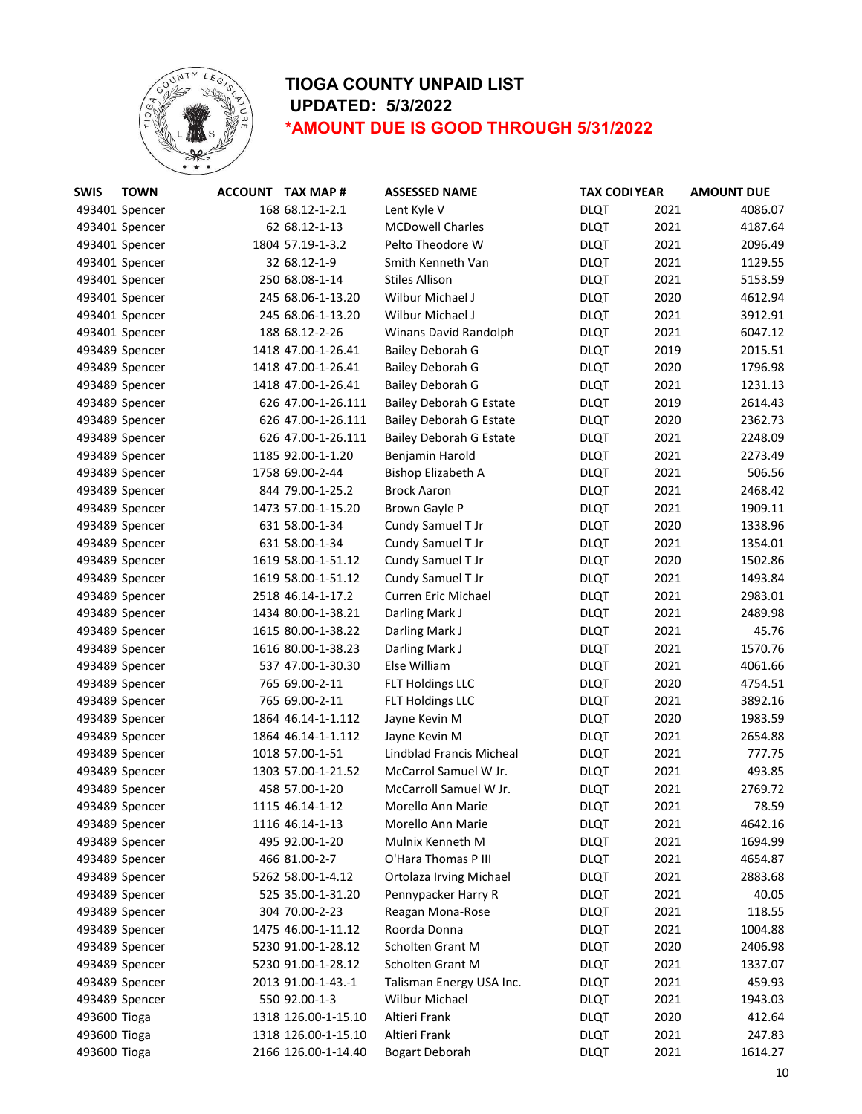

| <b>SWIS</b>  | <b>TOWN</b>    | <b>ACCOUNT TAX MAP #</b> | <b>ASSESSED NAME</b>           | <b>TAX CODI YEAR</b> |      | <b>AMOUNT DUE</b> |
|--------------|----------------|--------------------------|--------------------------------|----------------------|------|-------------------|
|              | 493401 Spencer | 168 68.12-1-2.1          | Lent Kyle V                    | <b>DLQT</b>          | 2021 | 4086.07           |
|              | 493401 Spencer | 62 68.12-1-13            | <b>MCDowell Charles</b>        | <b>DLQT</b>          | 2021 | 4187.64           |
|              | 493401 Spencer | 1804 57.19-1-3.2         | Pelto Theodore W               | <b>DLQT</b>          | 2021 | 2096.49           |
|              | 493401 Spencer | 32 68.12-1-9             | Smith Kenneth Van              | <b>DLQT</b>          | 2021 | 1129.55           |
|              | 493401 Spencer | 250 68.08-1-14           | <b>Stiles Allison</b>          | <b>DLQT</b>          | 2021 | 5153.59           |
|              | 493401 Spencer | 245 68.06-1-13.20        | Wilbur Michael J               | <b>DLQT</b>          | 2020 | 4612.94           |
|              | 493401 Spencer | 245 68.06-1-13.20        | Wilbur Michael J               | <b>DLQT</b>          | 2021 | 3912.91           |
|              | 493401 Spencer | 188 68.12-2-26           | <b>Winans David Randolph</b>   | <b>DLQT</b>          | 2021 | 6047.12           |
|              | 493489 Spencer | 1418 47.00-1-26.41       | <b>Bailey Deborah G</b>        | <b>DLQT</b>          | 2019 | 2015.51           |
|              | 493489 Spencer | 1418 47.00-1-26.41       | <b>Bailey Deborah G</b>        | <b>DLQT</b>          | 2020 | 1796.98           |
|              | 493489 Spencer | 1418 47.00-1-26.41       | Bailey Deborah G               | <b>DLQT</b>          | 2021 | 1231.13           |
|              | 493489 Spencer | 626 47.00-1-26.111       | <b>Bailey Deborah G Estate</b> | <b>DLQT</b>          | 2019 | 2614.43           |
|              | 493489 Spencer | 626 47.00-1-26.111       | <b>Bailey Deborah G Estate</b> | <b>DLQT</b>          | 2020 | 2362.73           |
|              | 493489 Spencer | 626 47.00-1-26.111       | <b>Bailey Deborah G Estate</b> | <b>DLQT</b>          | 2021 | 2248.09           |
|              | 493489 Spencer | 1185 92.00-1-1.20        | Benjamin Harold                | <b>DLQT</b>          | 2021 | 2273.49           |
|              | 493489 Spencer | 1758 69.00-2-44          | Bishop Elizabeth A             | <b>DLQT</b>          | 2021 | 506.56            |
|              | 493489 Spencer | 844 79.00-1-25.2         | <b>Brock Aaron</b>             | <b>DLQT</b>          | 2021 | 2468.42           |
|              | 493489 Spencer | 1473 57.00-1-15.20       | Brown Gayle P                  | <b>DLQT</b>          | 2021 | 1909.11           |
|              | 493489 Spencer | 631 58.00-1-34           | Cundy Samuel T Jr              | <b>DLQT</b>          | 2020 | 1338.96           |
|              | 493489 Spencer | 631 58.00-1-34           | Cundy Samuel T Jr              | <b>DLQT</b>          | 2021 | 1354.01           |
|              | 493489 Spencer | 1619 58.00-1-51.12       | Cundy Samuel T Jr              | <b>DLQT</b>          | 2020 | 1502.86           |
|              | 493489 Spencer | 1619 58.00-1-51.12       | Cundy Samuel T Jr              | <b>DLQT</b>          | 2021 | 1493.84           |
|              | 493489 Spencer | 2518 46.14-1-17.2        | Curren Eric Michael            | <b>DLQT</b>          | 2021 | 2983.01           |
|              | 493489 Spencer | 1434 80.00-1-38.21       | Darling Mark J                 | <b>DLQT</b>          | 2021 | 2489.98           |
|              | 493489 Spencer | 1615 80.00-1-38.22       | Darling Mark J                 | <b>DLQT</b>          | 2021 | 45.76             |
|              | 493489 Spencer | 1616 80.00-1-38.23       | Darling Mark J                 | <b>DLQT</b>          | 2021 | 1570.76           |
|              | 493489 Spencer | 537 47.00-1-30.30        | Else William                   | <b>DLQT</b>          | 2021 | 4061.66           |
|              | 493489 Spencer | 765 69.00-2-11           | <b>FLT Holdings LLC</b>        | <b>DLQT</b>          | 2020 | 4754.51           |
|              | 493489 Spencer | 765 69.00-2-11           | <b>FLT Holdings LLC</b>        | <b>DLQT</b>          | 2021 | 3892.16           |
|              | 493489 Spencer | 1864 46.14-1-1.112       | Jayne Kevin M                  | <b>DLQT</b>          | 2020 | 1983.59           |
|              | 493489 Spencer | 1864 46.14-1-1.112       | Jayne Kevin M                  | <b>DLQT</b>          | 2021 | 2654.88           |
|              | 493489 Spencer | 1018 57.00-1-51          | Lindblad Francis Micheal       | <b>DLQT</b>          | 2021 | 777.75            |
|              | 493489 Spencer | 1303 57.00-1-21.52       | McCarrol Samuel W Jr.          | <b>DLQT</b>          | 2021 | 493.85            |
|              | 493489 Spencer | 458 57.00-1-20           | McCarroll Samuel W Jr.         | <b>DLQT</b>          | 2021 | 2769.72           |
|              | 493489 Spencer | 1115 46.14-1-12          | Morello Ann Marie              | <b>DLQT</b>          | 2021 | 78.59             |
|              | 493489 Spencer | 1116 46.14-1-13          | Morello Ann Marie              | <b>DLQT</b>          | 2021 | 4642.16           |
|              | 493489 Spencer | 495 92.00-1-20           | Mulnix Kenneth M               | <b>DLQT</b>          | 2021 | 1694.99           |
|              | 493489 Spencer | 466 81.00-2-7            | O'Hara Thomas P III            | <b>DLQT</b>          | 2021 | 4654.87           |
|              | 493489 Spencer | 5262 58.00-1-4.12        | <b>Ortolaza Irving Michael</b> | <b>DLQT</b>          | 2021 | 2883.68           |
|              | 493489 Spencer | 525 35.00-1-31.20        | Pennypacker Harry R            | <b>DLQT</b>          | 2021 | 40.05             |
|              | 493489 Spencer | 304 70.00-2-23           | Reagan Mona-Rose               | <b>DLQT</b>          | 2021 | 118.55            |
|              | 493489 Spencer | 1475 46.00-1-11.12       | Roorda Donna                   | <b>DLQT</b>          | 2021 | 1004.88           |
|              | 493489 Spencer | 5230 91.00-1-28.12       | Scholten Grant M               | <b>DLQT</b>          | 2020 | 2406.98           |
|              | 493489 Spencer | 5230 91.00-1-28.12       | Scholten Grant M               | <b>DLQT</b>          | 2021 | 1337.07           |
|              | 493489 Spencer | 2013 91.00-1-43.-1       | Talisman Energy USA Inc.       | <b>DLQT</b>          | 2021 | 459.93            |
|              | 493489 Spencer | 550 92.00-1-3            | Wilbur Michael                 | <b>DLQT</b>          | 2021 | 1943.03           |
| 493600 Tioga |                | 1318 126.00-1-15.10      | Altieri Frank                  | <b>DLQT</b>          | 2020 | 412.64            |
| 493600 Tioga |                | 1318 126.00-1-15.10      | Altieri Frank                  | <b>DLQT</b>          | 2021 | 247.83            |
| 493600 Tioga |                | 2166 126.00-1-14.40      | <b>Bogart Deborah</b>          | <b>DLQT</b>          | 2021 | 1614.27           |
|              |                |                          |                                |                      |      |                   |